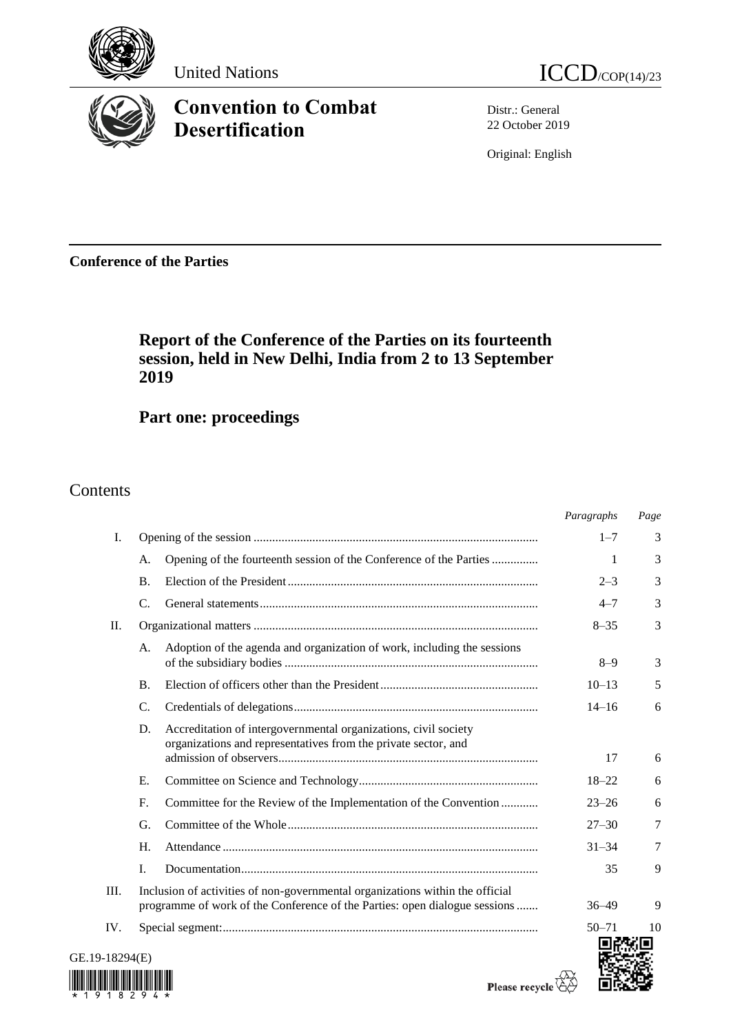

# **Convention to Combat Desertification**



Distr.: General 22 October 2019

Original: English

**Conference of the Parties**

## **Report of the Conference of the Parties on its fourteenth session, held in New Delhi, India from 2 to 13 September 2019**

**Part one: proceedings**

Contents

|             |                                                                                                                                                             |                                                                                                                                   | Paragraphs | Page |
|-------------|-------------------------------------------------------------------------------------------------------------------------------------------------------------|-----------------------------------------------------------------------------------------------------------------------------------|------------|------|
| Ι.          |                                                                                                                                                             |                                                                                                                                   | $1 - 7$    | 3    |
|             | А.                                                                                                                                                          | Opening of the fourteenth session of the Conference of the Parties                                                                | 1          | 3    |
|             | <b>B.</b>                                                                                                                                                   |                                                                                                                                   | $2 - 3$    | 3    |
|             | C.                                                                                                                                                          |                                                                                                                                   | $4 - 7$    | 3    |
| П.          |                                                                                                                                                             |                                                                                                                                   | $8 - 35$   | 3    |
|             | А.                                                                                                                                                          | Adoption of the agenda and organization of work, including the sessions                                                           | $8 - 9$    | 3    |
|             | <b>B.</b>                                                                                                                                                   |                                                                                                                                   | $10 - 13$  | 5    |
|             | C.                                                                                                                                                          |                                                                                                                                   | $14 - 16$  | 6    |
|             | D.                                                                                                                                                          | Accreditation of intergovernmental organizations, civil society<br>organizations and representatives from the private sector, and | 17         | 6    |
|             | Е.                                                                                                                                                          |                                                                                                                                   | $18 - 22$  | 6    |
|             | F.                                                                                                                                                          | Committee for the Review of the Implementation of the Convention                                                                  | $23 - 26$  | 6    |
|             | G.                                                                                                                                                          |                                                                                                                                   | $27 - 30$  | 7    |
|             | H.                                                                                                                                                          |                                                                                                                                   | $31 - 34$  | 7    |
|             | L.                                                                                                                                                          |                                                                                                                                   | 35         | 9    |
| III.        | Inclusion of activities of non-governmental organizations within the official<br>programme of work of the Conference of the Parties: open dialogue sessions |                                                                                                                                   | $36 - 49$  | 9    |
| IV.         |                                                                                                                                                             |                                                                                                                                   | $50 - 71$  | 10   |
| $-18294(E)$ |                                                                                                                                                             |                                                                                                                                   |            |      |



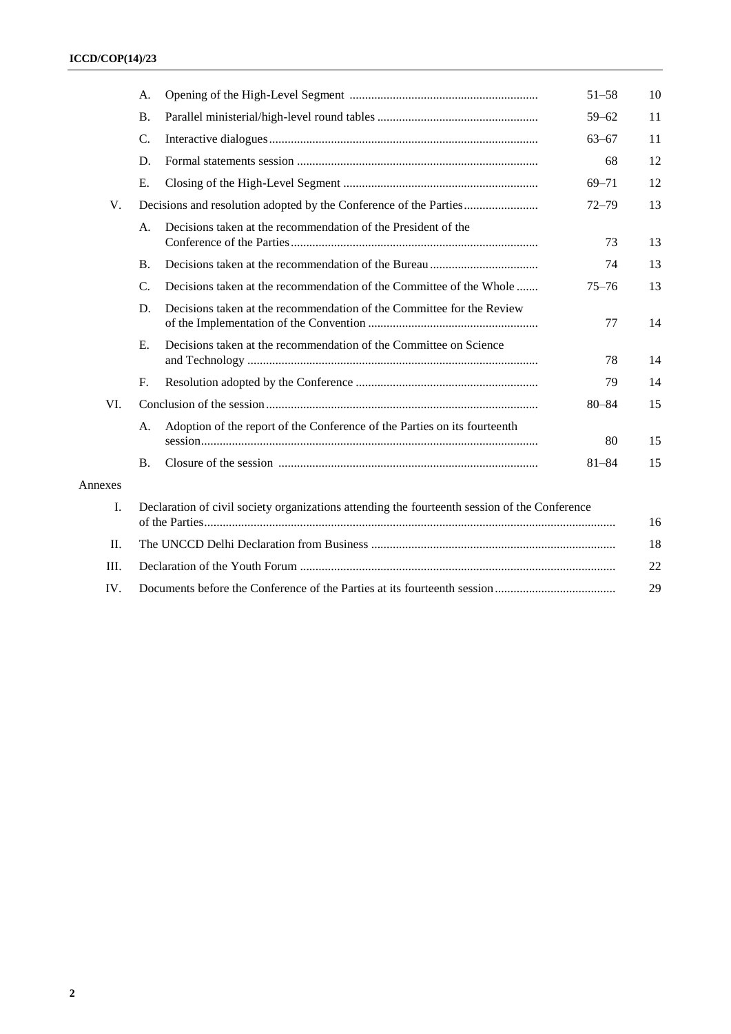|         | А.                                                                                            |                                                                           | $51 - 58$ | 10 |
|---------|-----------------------------------------------------------------------------------------------|---------------------------------------------------------------------------|-----------|----|
|         | <b>B.</b>                                                                                     |                                                                           | $59 - 62$ | 11 |
|         | C.                                                                                            |                                                                           | $63 - 67$ | 11 |
|         | D.                                                                                            |                                                                           | 68        | 12 |
|         | Ε.                                                                                            |                                                                           | $69 - 71$ | 12 |
| V.      | Decisions and resolution adopted by the Conference of the Parties                             |                                                                           | $72 - 79$ | 13 |
|         | A.                                                                                            | Decisions taken at the recommendation of the President of the             | 73        | 13 |
|         | <b>B.</b>                                                                                     |                                                                           | 74        | 13 |
|         | $\mathcal{C}$ .                                                                               | Decisions taken at the recommendation of the Committee of the Whole       | $75 - 76$ | 13 |
|         | D.                                                                                            | Decisions taken at the recommendation of the Committee for the Review     | 77        | 14 |
|         | Ε.                                                                                            | Decisions taken at the recommendation of the Committee on Science         | 78        | 14 |
|         | F.                                                                                            |                                                                           | 79        | 14 |
| VI.     |                                                                                               |                                                                           | $80 - 84$ | 15 |
|         | A.                                                                                            | Adoption of the report of the Conference of the Parties on its fourteenth | 80        | 15 |
|         | <b>B.</b>                                                                                     |                                                                           | $81 - 84$ | 15 |
| Annexes |                                                                                               |                                                                           |           |    |
| I.      | Declaration of civil society organizations attending the fourteenth session of the Conference |                                                                           |           | 16 |
| П.      |                                                                                               |                                                                           |           | 18 |
| III.    |                                                                                               |                                                                           |           | 22 |
| IV.     |                                                                                               |                                                                           |           | 29 |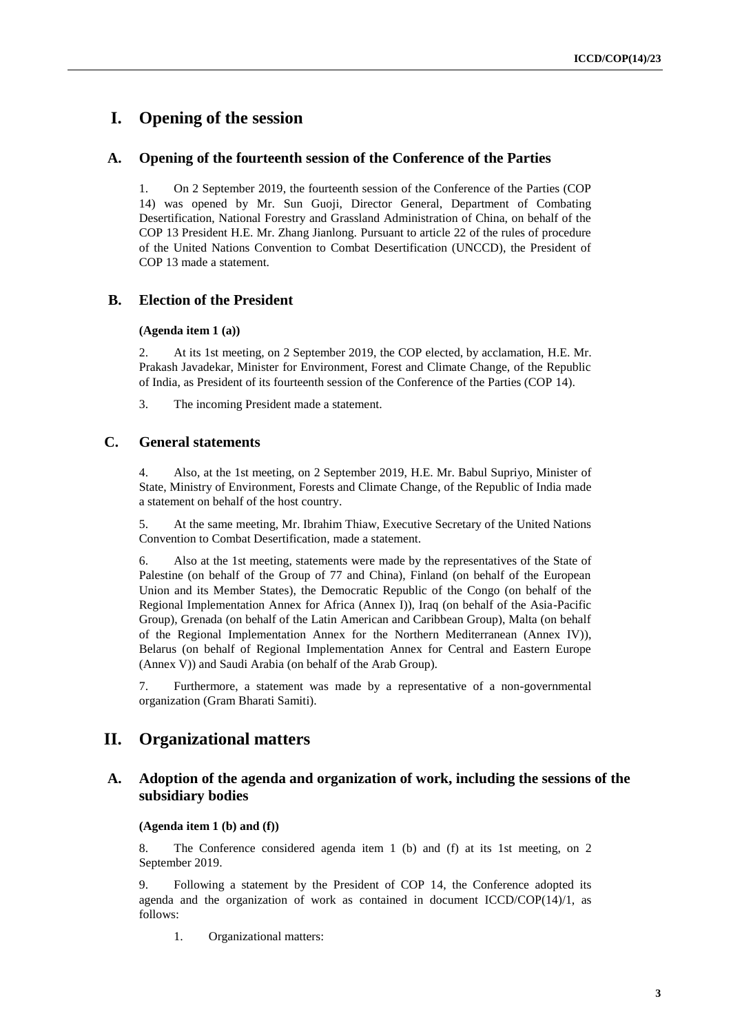## **I. Opening of the session**

### **A. Opening of the fourteenth session of the Conference of the Parties**

1. On 2 September 2019, the fourteenth session of the Conference of the Parties (COP 14) was opened by Mr. Sun Guoji, Director General, Department of Combating Desertification, National Forestry and Grassland Administration of China, on behalf of the COP 13 President H.E. Mr. Zhang Jianlong. Pursuant to article 22 of the rules of procedure of the United Nations Convention to Combat Desertification (UNCCD), the President of COP 13 made a statement.

### **B. Election of the President**

#### **(Agenda item 1 (a))**

2. At its 1st meeting, on 2 September 2019, the COP elected, by acclamation, H.E. Mr. Prakash Javadekar, Minister for Environment, Forest and Climate Change, of the Republic of India, as President of its fourteenth session of the Conference of the Parties (COP 14).

3. The incoming President made a statement.

## **C. General statements**

4. Also, at the 1st meeting, on 2 September 2019, H.E. Mr. Babul Supriyo, Minister of State, Ministry of Environment, Forests and Climate Change, of the Republic of India made a statement on behalf of the host country.

5. At the same meeting, Mr. Ibrahim Thiaw, Executive Secretary of the United Nations Convention to Combat Desertification, made a statement.

6. Also at the 1st meeting, statements were made by the representatives of the State of Palestine (on behalf of the Group of 77 and China), Finland (on behalf of the European Union and its Member States), the Democratic Republic of the Congo (on behalf of the Regional Implementation Annex for Africa (Annex I)), Iraq (on behalf of the Asia-Pacific Group), Grenada (on behalf of the Latin American and Caribbean Group), Malta (on behalf of the Regional Implementation Annex for the Northern Mediterranean (Annex IV)), Belarus (on behalf of Regional Implementation Annex for Central and Eastern Europe (Annex V)) and Saudi Arabia (on behalf of the Arab Group).

7. Furthermore, a statement was made by a representative of a non-governmental organization (Gram Bharati Samiti).

## **II. Organizational matters**

### **A. Adoption of the agenda and organization of work, including the sessions of the subsidiary bodies**

#### **(Agenda item 1 (b) and (f))**

8. The Conference considered agenda item 1 (b) and (f) at its 1st meeting, on 2 September 2019.

9. Following a statement by the President of COP 14, the Conference adopted its agenda and the organization of work as contained in document  $ICCD/COP(14)/1$ , as follows:

1. Organizational matters: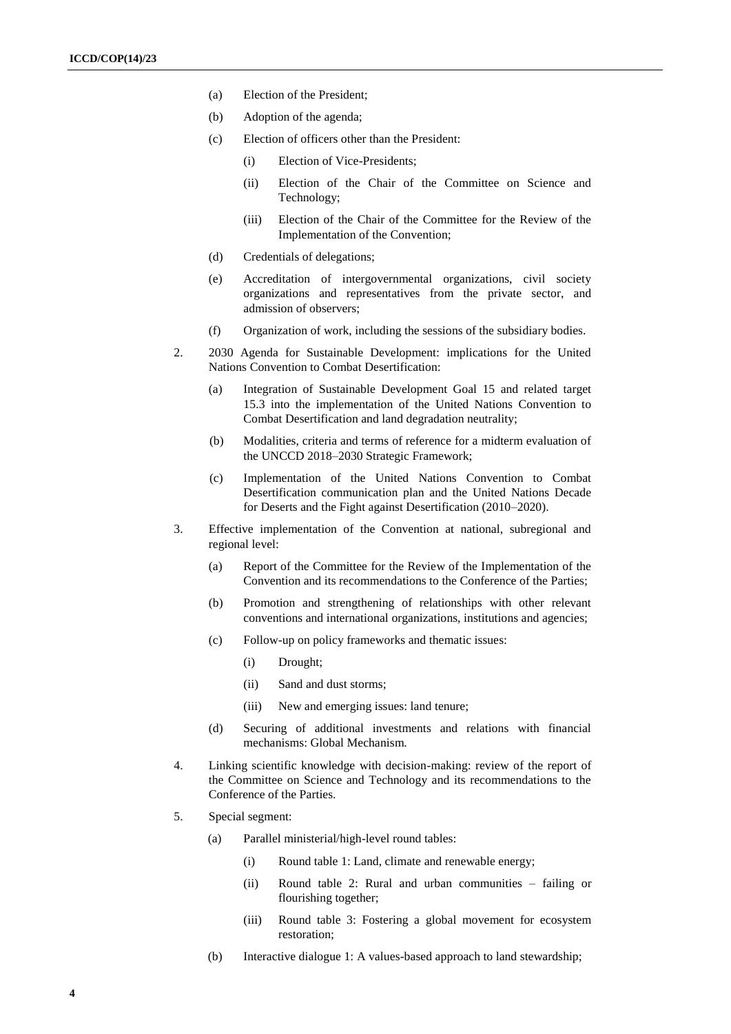- (a) Election of the President;
- (b) Adoption of the agenda;
- (c) Election of officers other than the President:
	- (i) Election of Vice-Presidents;
	- (ii) Election of the Chair of the Committee on Science and Technology;
	- (iii) Election of the Chair of the Committee for the Review of the Implementation of the Convention;
- (d) Credentials of delegations;
- (e) Accreditation of intergovernmental organizations, civil society organizations and representatives from the private sector, and admission of observers;
- (f) Organization of work, including the sessions of the subsidiary bodies.
- 2. 2030 Agenda for Sustainable Development: implications for the United Nations Convention to Combat Desertification:
	- (a) Integration of Sustainable Development Goal 15 and related target 15.3 into the implementation of the United Nations Convention to Combat Desertification and land degradation neutrality;
	- (b) Modalities, criteria and terms of reference for a midterm evaluation of the UNCCD 2018–2030 Strategic Framework;
	- (c) Implementation of the United Nations Convention to Combat Desertification communication plan and the United Nations Decade for Deserts and the Fight against Desertification (2010–2020).
- 3. Effective implementation of the Convention at national, subregional and regional level:
	- (a) Report of the Committee for the Review of the Implementation of the Convention and its recommendations to the Conference of the Parties;
	- (b) Promotion and strengthening of relationships with other relevant conventions and international organizations, institutions and agencies;
	- (c) Follow-up on policy frameworks and thematic issues:
		- (i) Drought;
		- (ii) Sand and dust storms;
		- (iii) New and emerging issues: land tenure;
	- (d) Securing of additional investments and relations with financial mechanisms: Global Mechanism.
- 4. Linking scientific knowledge with decision-making: review of the report of the Committee on Science and Technology and its recommendations to the Conference of the Parties.
- 5. Special segment:
	- (a) Parallel ministerial/high-level round tables:
		- (i) Round table 1: Land, climate and renewable energy;
		- (ii) Round table 2: Rural and urban communities failing or flourishing together;
		- (iii) Round table 3: Fostering a global movement for ecosystem restoration;
	- (b) Interactive dialogue 1: A values-based approach to land stewardship;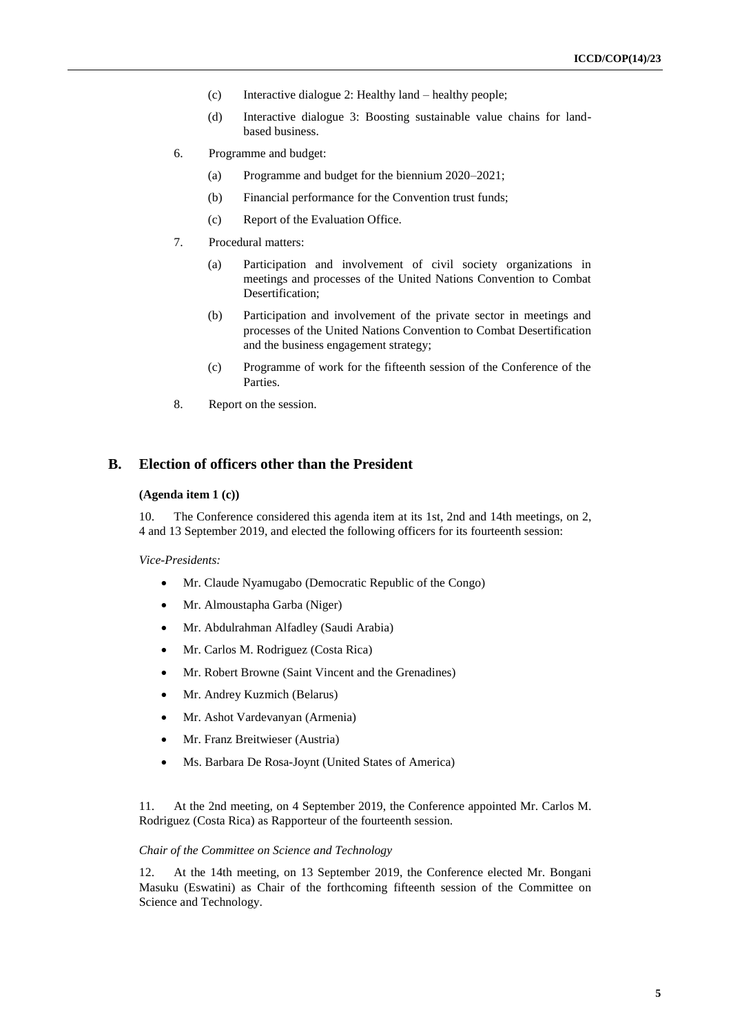- (c) Interactive dialogue 2: Healthy land healthy people;
- (d) Interactive dialogue 3: Boosting sustainable value chains for landbased business.
- 6. Programme and budget:
	- (a) Programme and budget for the biennium 2020–2021;
	- (b) Financial performance for the Convention trust funds;
	- (c) Report of the Evaluation Office.
- 7. Procedural matters:
	- (a) Participation and involvement of civil society organizations in meetings and processes of the United Nations Convention to Combat Desertification;
	- (b) Participation and involvement of the private sector in meetings and processes of the United Nations Convention to Combat Desertification and the business engagement strategy;
	- (c) Programme of work for the fifteenth session of the Conference of the Parties.
- 8. Report on the session.

## **B. Election of officers other than the President**

#### **(Agenda item 1 (c))**

10. The Conference considered this agenda item at its 1st, 2nd and 14th meetings, on 2, 4 and 13 September 2019, and elected the following officers for its fourteenth session:

*Vice-Presidents:*

- Mr. Claude Nyamugabo (Democratic Republic of the Congo)
- Mr. Almoustapha Garba (Niger)
- Mr. Abdulrahman Alfadley (Saudi Arabia)
- Mr. Carlos M. Rodriguez (Costa Rica)
- Mr. Robert Browne (Saint Vincent and the Grenadines)
- Mr. Andrey Kuzmich (Belarus)
- Mr. Ashot Vardevanyan (Armenia)
- Mr. Franz Breitwieser (Austria)
- Ms. Barbara De Rosa-Joynt (United States of America)

11. At the 2nd meeting, on 4 September 2019, the Conference appointed Mr. Carlos M. Rodriguez (Costa Rica) as Rapporteur of the fourteenth session.

#### *Chair of the Committee on Science and Technology*

12. At the 14th meeting, on 13 September 2019, the Conference elected Mr. Bongani Masuku (Eswatini) as Chair of the forthcoming fifteenth session of the Committee on Science and Technology.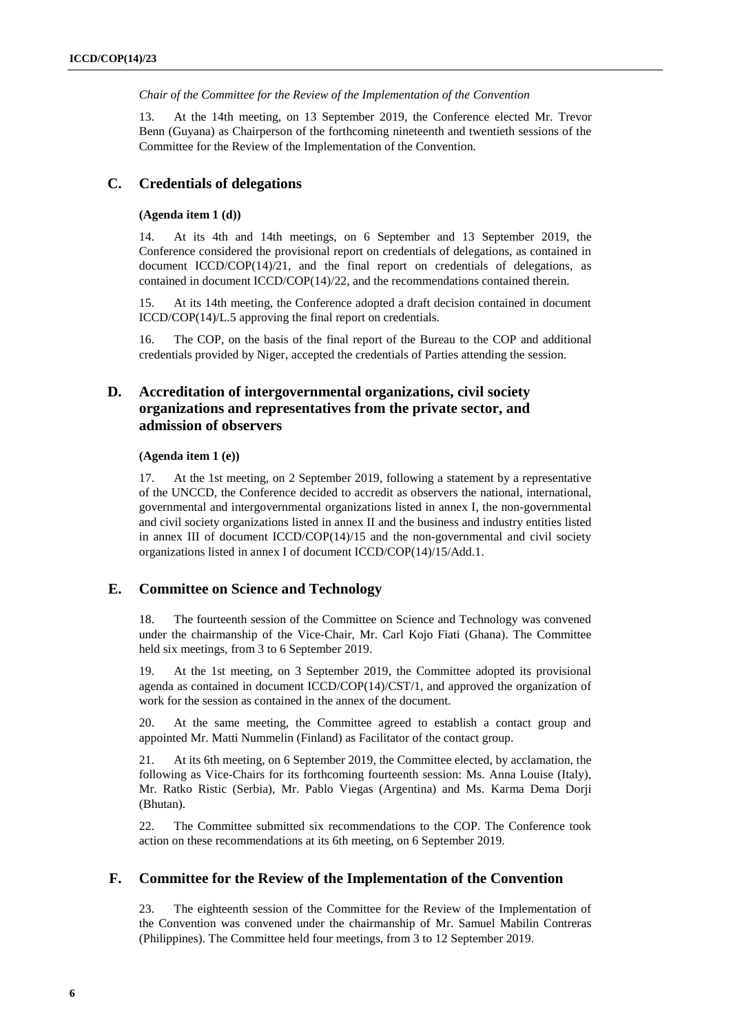*Chair of the Committee for the Review of the Implementation of the Convention*

13. At the 14th meeting, on 13 September 2019, the Conference elected Mr. Trevor Benn (Guyana) as Chairperson of the forthcoming nineteenth and twentieth sessions of the Committee for the Review of the Implementation of the Convention.

### **C. Credentials of delegations**

#### **(Agenda item 1 (d))**

14. At its 4th and 14th meetings, on 6 September and 13 September 2019, the Conference considered the provisional report on credentials of delegations, as contained in document  $ICCD/COP(14)/21$ , and the final report on credentials of delegations, as contained in document ICCD/COP(14)/22, and the recommendations contained therein.

15. At its 14th meeting, the Conference adopted a draft decision contained in document ICCD/COP(14)/L.5 approving the final report on credentials.

16. The COP, on the basis of the final report of the Bureau to the COP and additional credentials provided by Niger, accepted the credentials of Parties attending the session.

## **D. Accreditation of intergovernmental organizations, civil society organizations and representatives from the private sector, and admission of observers**

#### **(Agenda item 1 (e))**

17. At the 1st meeting, on 2 September 2019, following a statement by a representative of the UNCCD, the Conference decided to accredit as observers the national, international, governmental and intergovernmental organizations listed in annex I, the non-governmental and civil society organizations listed in annex II and the business and industry entities listed in annex III of document ICCD/COP(14)/15 and the non-governmental and civil society organizations listed in annex I of document ICCD/COP(14)/15/Add.1.

### **E. Committee on Science and Technology**

18. The fourteenth session of the Committee on Science and Technology was convened under the chairmanship of the Vice-Chair, Mr. Carl Kojo Fiati (Ghana). The Committee held six meetings, from 3 to 6 September 2019.

19. At the 1st meeting, on 3 September 2019, the Committee adopted its provisional agenda as contained in document ICCD/COP(14)/CST/1, and approved the organization of work for the session as contained in the annex of the document.

20. At the same meeting, the Committee agreed to establish a contact group and appointed Mr. Matti Nummelin (Finland) as Facilitator of the contact group.

21. At its 6th meeting, on 6 September 2019, the Committee elected, by acclamation, the following as Vice-Chairs for its forthcoming fourteenth session: Ms. Anna Louise (Italy), Mr. Ratko Ristic (Serbia), Mr. Pablo Viegas (Argentina) and Ms. Karma Dema Dorji (Bhutan).

22. The Committee submitted six recommendations to the COP. The Conference took action on these recommendations at its 6th meeting, on 6 September 2019.

### **F. Committee for the Review of the Implementation of the Convention**

23. The eighteenth session of the Committee for the Review of the Implementation of the Convention was convened under the chairmanship of Mr. Samuel Mabilin Contreras (Philippines). The Committee held four meetings, from 3 to 12 September 2019.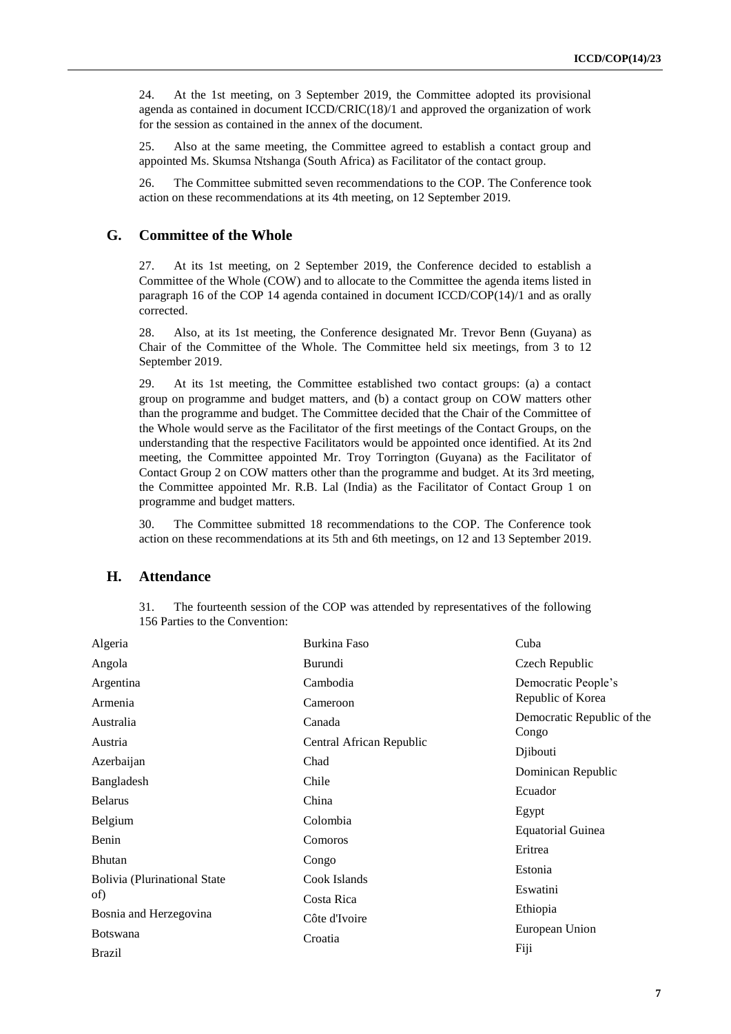24. At the 1st meeting, on 3 September 2019, the Committee adopted its provisional agenda as contained in document ICCD/CRIC(18)/1 and approved the organization of work for the session as contained in the annex of the document.

25. Also at the same meeting, the Committee agreed to establish a contact group and appointed Ms. Skumsa Ntshanga (South Africa) as Facilitator of the contact group.

26. The Committee submitted seven recommendations to the COP. The Conference took action on these recommendations at its 4th meeting, on 12 September 2019.

### **G. Committee of the Whole**

27. At its 1st meeting, on 2 September 2019, the Conference decided to establish a Committee of the Whole (COW) and to allocate to the Committee the agenda items listed in paragraph 16 of the COP 14 agenda contained in document ICCD/COP(14)/1 and as orally corrected.

28. Also, at its 1st meeting, the Conference designated Mr. Trevor Benn (Guyana) as Chair of the Committee of the Whole. The Committee held six meetings, from 3 to 12 September 2019.

29. At its 1st meeting, the Committee established two contact groups: (a) a contact group on programme and budget matters, and (b) a contact group on COW matters other than the programme and budget. The Committee decided that the Chair of the Committee of the Whole would serve as the Facilitator of the first meetings of the Contact Groups, on the understanding that the respective Facilitators would be appointed once identified. At its 2nd meeting, the Committee appointed Mr. Troy Torrington (Guyana) as the Facilitator of Contact Group 2 on COW matters other than the programme and budget. At its 3rd meeting, the Committee appointed Mr. R.B. Lal (India) as the Facilitator of Contact Group 1 on programme and budget matters.

30. The Committee submitted 18 recommendations to the COP. The Conference took action on these recommendations at its 5th and 6th meetings, on 12 and 13 September 2019.

#### **H. Attendance**

31. The fourteenth session of the COP was attended by representatives of the following 156 Parties to the Convention:

| Algeria                             | Burkina Faso             | Cuba                                |
|-------------------------------------|--------------------------|-------------------------------------|
| Angola                              | Burundi                  | Czech Republic                      |
| Argentina                           | Cambodia                 | Democratic People's                 |
| Armenia                             | Cameroon                 | Republic of Korea                   |
| Australia                           | Canada                   | Democratic Republic of the<br>Congo |
| Austria                             | Central African Republic |                                     |
| Azerbaijan                          | Chad                     | Djibouti                            |
| Bangladesh                          | Chile                    | Dominican Republic                  |
| <b>Belarus</b>                      | China                    | Ecuador                             |
|                                     |                          | Egypt                               |
| Belgium                             | Colombia                 | <b>Equatorial Guinea</b>            |
| Benin                               | Comoros                  | Eritrea                             |
| <b>Bhutan</b>                       | Congo                    |                                     |
| <b>Bolivia (Plurinational State</b> | Cook Islands             | Estonia                             |
| of)                                 | Costa Rica               | Eswatini                            |
| Bosnia and Herzegovina              |                          | Ethiopia                            |
|                                     | Côte d'Ivoire            | European Union                      |
| <b>Botswana</b>                     | Croatia                  |                                     |
| <b>Brazil</b>                       |                          | Fiji                                |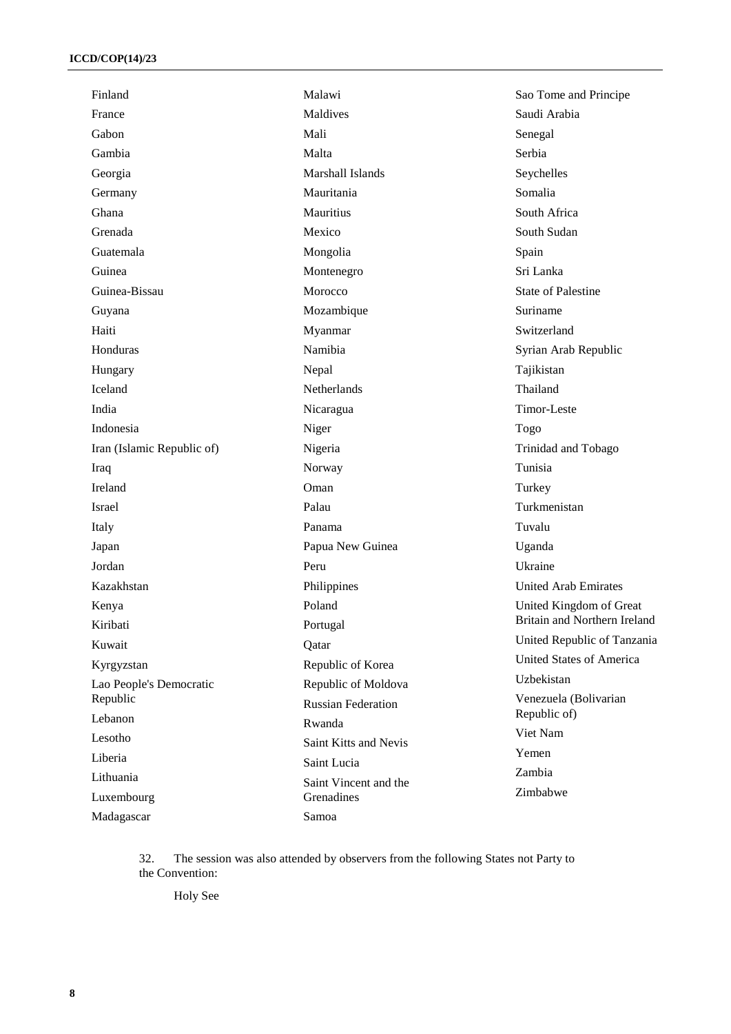| Finland                    | Malawi                    | Sao Tome and Principe           |
|----------------------------|---------------------------|---------------------------------|
| France                     | Maldives                  | Saudi Arabia                    |
| Gabon                      | Mali                      | Senegal                         |
| Gambia                     | Malta                     | Serbia                          |
| Georgia                    | <b>Marshall Islands</b>   | Seychelles                      |
| Germany                    | Mauritania                | Somalia                         |
| Ghana                      | Mauritius                 | South Africa                    |
| Grenada                    | Mexico                    | South Sudan                     |
| Guatemala                  | Mongolia                  | Spain                           |
| Guinea                     | Montenegro                | Sri Lanka                       |
| Guinea-Bissau              | Morocco                   | <b>State of Palestine</b>       |
| Guyana                     | Mozambique                | Suriname                        |
| Haiti                      | Myanmar                   | Switzerland                     |
| Honduras                   | Namibia                   | Syrian Arab Republic            |
| Hungary                    | Nepal                     | Tajikistan                      |
| Iceland                    | Netherlands               | Thailand                        |
| India                      | Nicaragua                 | Timor-Leste                     |
| Indonesia                  | Niger                     | Togo                            |
| Iran (Islamic Republic of) | Nigeria                   | Trinidad and Tobago             |
| Iraq                       | Norway                    | Tunisia                         |
| Ireland                    | Oman                      | Turkey                          |
| Israel                     | Palau                     | Turkmenistan                    |
| Italy                      | Panama                    | Tuvalu                          |
| Japan                      | Papua New Guinea          | Uganda                          |
| Jordan                     | Peru                      | Ukraine                         |
| Kazakhstan                 | Philippines               | United Arab Emirates            |
| Kenya                      | Poland                    | United Kingdom of Great         |
| Kiribati                   | Portugal                  | Britain and Northern Ireland    |
| Kuwait                     | Qatar                     | United Republic of Tanzania     |
| Kyrgyzstan                 | Republic of Korea         | <b>United States of America</b> |
| Lao People's Democratic    | Republic of Moldova       | Uzbekistan                      |
| Republic                   | <b>Russian Federation</b> | Venezuela (Bolivarian           |
| Lebanon                    | Rwanda                    | Republic of)                    |
| Lesotho                    | Saint Kitts and Nevis     | Viet Nam                        |
| Liberia                    | Saint Lucia               | Yemen                           |
| Lithuania                  | Saint Vincent and the     | Zambia                          |
| Luxembourg                 | Grenadines                | Zimbabwe                        |
| Madagascar                 | Samoa                     |                                 |

32. The session was also attended by observers from the following States not Party to the Convention:

Holy See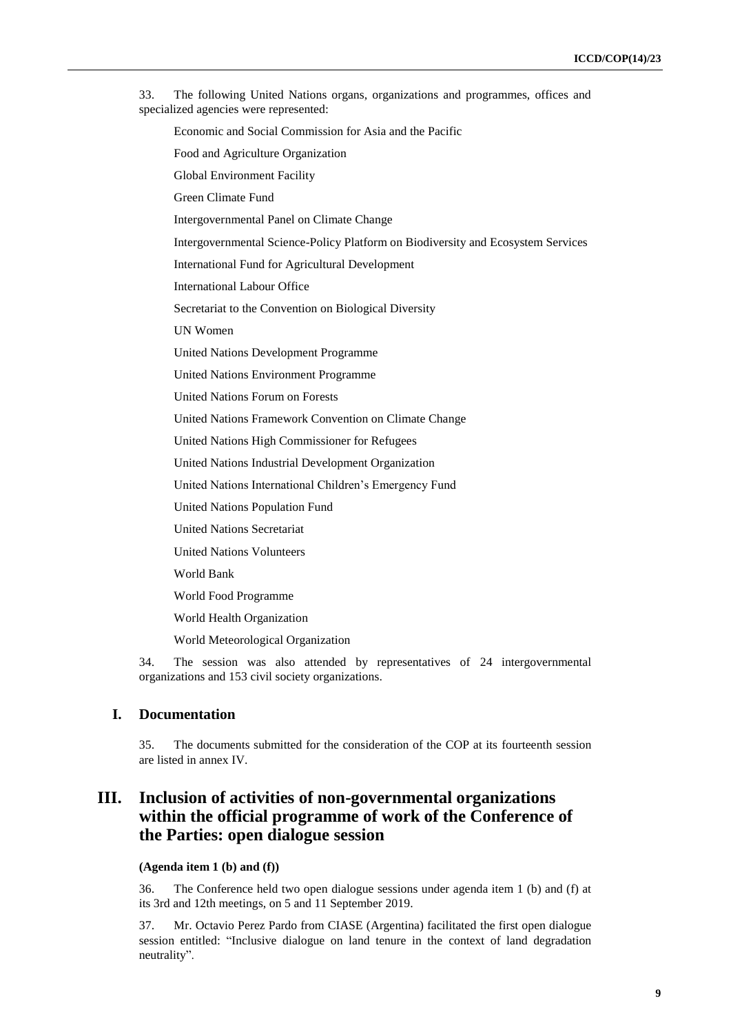33. The following United Nations organs, organizations and programmes, offices and specialized agencies were represented: Economic and Social Commission for Asia and the Pacific Food and Agriculture Organization Global Environment Facility Green Climate Fund Intergovernmental Panel on Climate Change Intergovernmental Science-Policy Platform on Biodiversity and Ecosystem Services International Fund for Agricultural Development International Labour Office Secretariat to the Convention on Biological Diversity UN Women United Nations Development Programme United Nations Environment Programme United Nations Forum on Forests United Nations Framework Convention on Climate Change United Nations High Commissioner for Refugees United Nations Industrial Development Organization United Nations International Children's Emergency Fund United Nations Population Fund United Nations Secretariat United Nations Volunteers World Bank World Food Programme World Health Organization World Meteorological Organization

34. The session was also attended by representatives of 24 intergovernmental organizations and 153 civil society organizations.

## **I. Documentation**

35. The documents submitted for the consideration of the COP at its fourteenth session are listed in annex IV.

## **III. Inclusion of activities of non-governmental organizations within the official programme of work of the Conference of the Parties: open dialogue session**

## **(Agenda item 1 (b) and (f))**

36. The Conference held two open dialogue sessions under agenda item 1 (b) and (f) at its 3rd and 12th meetings, on 5 and 11 September 2019.

37. Mr. Octavio Perez Pardo from CIASE (Argentina) facilitated the first open dialogue session entitled: "Inclusive dialogue on land tenure in the context of land degradation neutrality".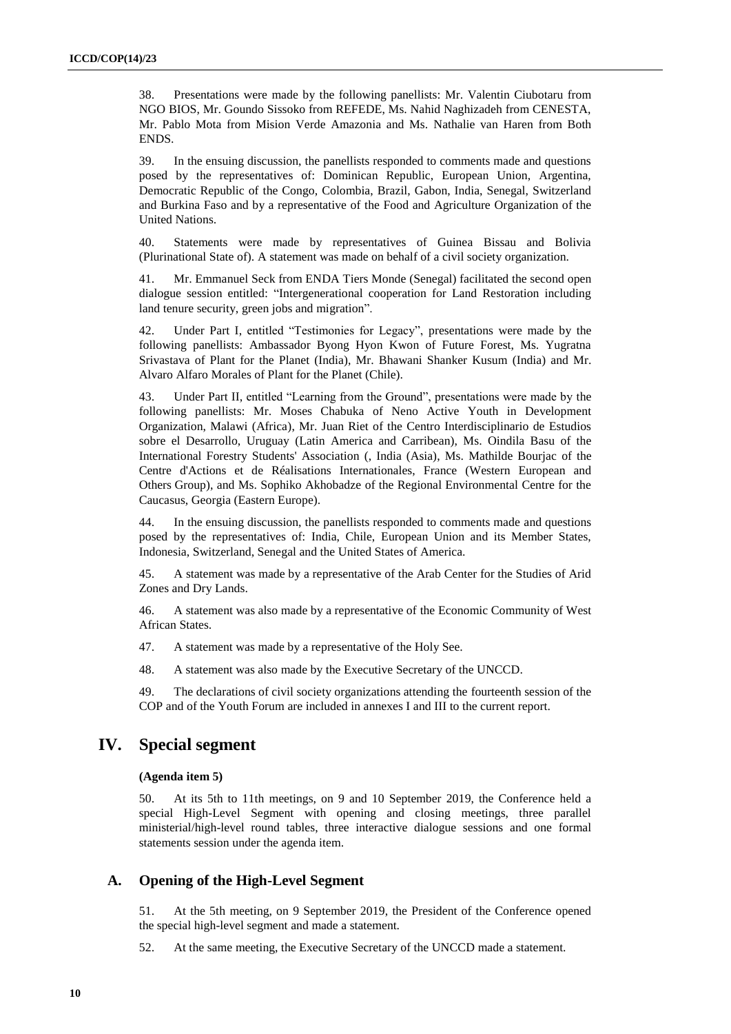38. Presentations were made by the following panellists: Mr. Valentin Ciubotaru from NGO BIOS, Mr. Goundo Sissoko from REFEDE, Ms. Nahid Naghizadeh from CENESTA, Mr. Pablo Mota from Mision Verde Amazonia and Ms. Nathalie van Haren from Both ENDS.

39. In the ensuing discussion, the panellists responded to comments made and questions posed by the representatives of: Dominican Republic, European Union, Argentina, Democratic Republic of the Congo, Colombia, Brazil, Gabon, India, Senegal, Switzerland and Burkina Faso and by a representative of the Food and Agriculture Organization of the United Nations.

40. Statements were made by representatives of Guinea Bissau and Bolivia (Plurinational State of). A statement was made on behalf of a civil society organization.

41. Mr. Emmanuel Seck from ENDA Tiers Monde (Senegal) facilitated the second open dialogue session entitled: "Intergenerational cooperation for Land Restoration including land tenure security, green jobs and migration".

42. Under Part I, entitled "Testimonies for Legacy", presentations were made by the following panellists: Ambassador Byong Hyon Kwon of Future Forest, Ms. Yugratna Srivastava of Plant for the Planet (India), Mr. Bhawani Shanker Kusum (India) and Mr. Alvaro Alfaro Morales of Plant for the Planet (Chile).

43. Under Part II, entitled "Learning from the Ground", presentations were made by the following panellists: Mr. Moses Chabuka of Neno Active Youth in Development Organization, Malawi (Africa), Mr. Juan Riet of the Centro Interdisciplinario de Estudios sobre el Desarrollo, Uruguay (Latin America and Carribean), Ms. Oindila Basu of the International Forestry Students' Association (, India (Asia), Ms. Mathilde Bourjac of the Centre d'Actions et de Réalisations Internationales, France (Western European and Others Group), and Ms. Sophiko Akhobadze of the Regional Environmental Centre for the Caucasus, Georgia (Eastern Europe).

44. In the ensuing discussion, the panellists responded to comments made and questions posed by the representatives of: India, Chile, European Union and its Member States, Indonesia, Switzerland, Senegal and the United States of America.

45. A statement was made by a representative of the Arab Center for the Studies of Arid Zones and Dry Lands.

46. A statement was also made by a representative of the Economic Community of West African States.

47. A statement was made by a representative of the Holy See.

48. A statement was also made by the Executive Secretary of the UNCCD.

49. The declarations of civil society organizations attending the fourteenth session of the COP and of the Youth Forum are included in annexes I and III to the current report.

## **IV. Special segment**

#### **(Agenda item 5)**

50. At its 5th to 11th meetings, on 9 and 10 September 2019, the Conference held a special High-Level Segment with opening and closing meetings, three parallel ministerial/high-level round tables, three interactive dialogue sessions and one formal statements session under the agenda item.

### **A. Opening of the High-Level Segment**

51. At the 5th meeting, on 9 September 2019, the President of the Conference opened the special high-level segment and made a statement.

52. At the same meeting, the Executive Secretary of the UNCCD made a statement.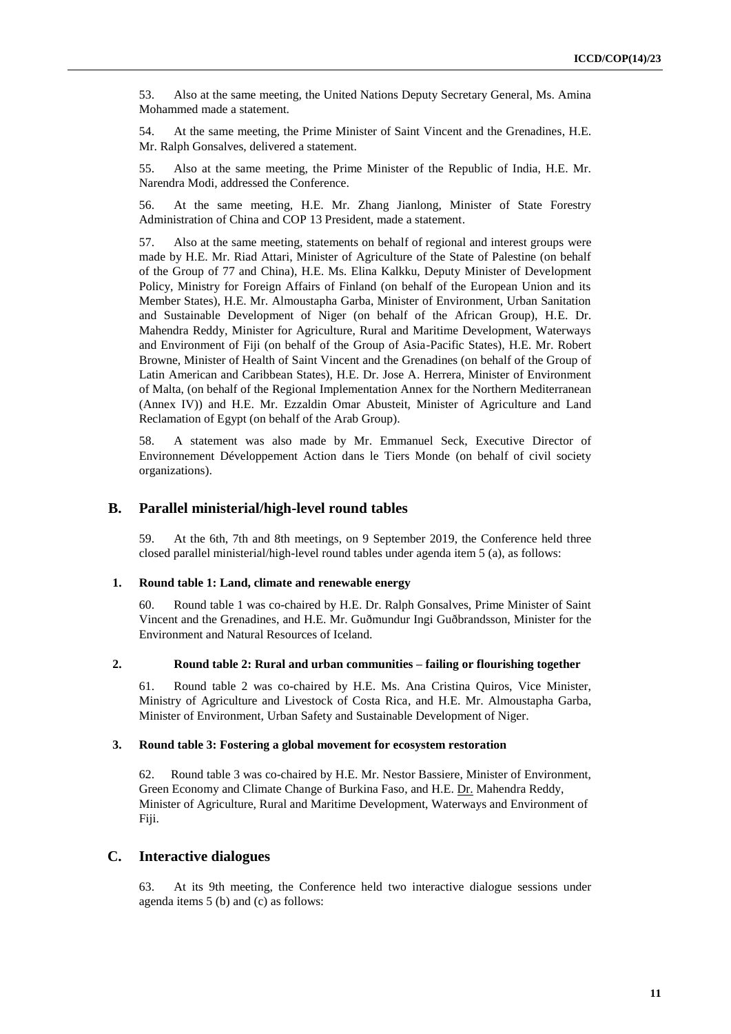53. Also at the same meeting, the United Nations Deputy Secretary General, Ms. Amina Mohammed made a statement.

54. At the same meeting, the Prime Minister of Saint Vincent and the Grenadines, H.E. Mr. Ralph Gonsalves, delivered a statement.

55. Also at the same meeting, the Prime Minister of the Republic of India, H.E. Mr. Narendra Modi, addressed the Conference.

56. At the same meeting, H.E. Mr. Zhang Jianlong, Minister of State Forestry Administration of China and COP 13 President, made a statement.

57. Also at the same meeting, statements on behalf of regional and interest groups were made by H.E. Mr. Riad Attari, Minister of Agriculture of the State of Palestine (on behalf of the Group of 77 and China), H.E. Ms. Elina Kalkku, Deputy Minister of Development Policy, Ministry for Foreign Affairs of Finland (on behalf of the European Union and its Member States), H.E. Mr. Almoustapha Garba, Minister of Environment, Urban Sanitation and Sustainable Development of Niger (on behalf of the African Group), H.E. Dr. Mahendra Reddy, Minister for Agriculture, Rural and Maritime Development, Waterways and Environment of Fiji (on behalf of the Group of Asia-Pacific States), H.E. Mr. Robert Browne, Minister of Health of Saint Vincent and the Grenadines (on behalf of the Group of Latin American and Caribbean States), H.E. Dr. Jose A. Herrera, Minister of Environment of Malta, (on behalf of the Regional Implementation Annex for the Northern Mediterranean (Annex IV)) and H.E. Mr. Ezzaldin Omar Abusteit, Minister of Agriculture and Land Reclamation of Egypt (on behalf of the Arab Group).

58. A statement was also made by Mr. Emmanuel Seck, Executive Director of Environnement Développement Action dans le Tiers Monde (on behalf of civil society organizations).

### **B. Parallel ministerial/high-level round tables**

59. At the 6th, 7th and 8th meetings, on 9 September 2019, the Conference held three closed parallel ministerial/high-level round tables under agenda item 5 (a), as follows:

#### **1. Round table 1: Land, climate and renewable energy**

60. Round table 1 was co-chaired by H.E. Dr. Ralph Gonsalves, Prime Minister of Saint Vincent and the Grenadines, and H.E. Mr. Guðmundur Ingi Guðbrandsson, Minister for the Environment and Natural Resources of Iceland.

#### **2. Round table 2: Rural and urban communities – failing or flourishing together**

61. Round table 2 was co-chaired by H.E. Ms. Ana Cristina Quiros, Vice Minister, Ministry of Agriculture and Livestock of Costa Rica, and H.E. Mr. Almoustapha Garba, Minister of Environment, Urban Safety and Sustainable Development of Niger.

#### **3. Round table 3: Fostering a global movement for ecosystem restoration**

62. Round table 3 was co-chaired by H.E. Mr. Nestor Bassiere, Minister of Environment, Green Economy and Climate Change of Burkina Faso, and H.E. Dr. Mahendra Reddy, Minister of Agriculture, Rural and Maritime Development, Waterways and Environment of Fiji.

#### **C. Interactive dialogues**

63. At its 9th meeting, the Conference held two interactive dialogue sessions under agenda items 5 (b) and (c) as follows: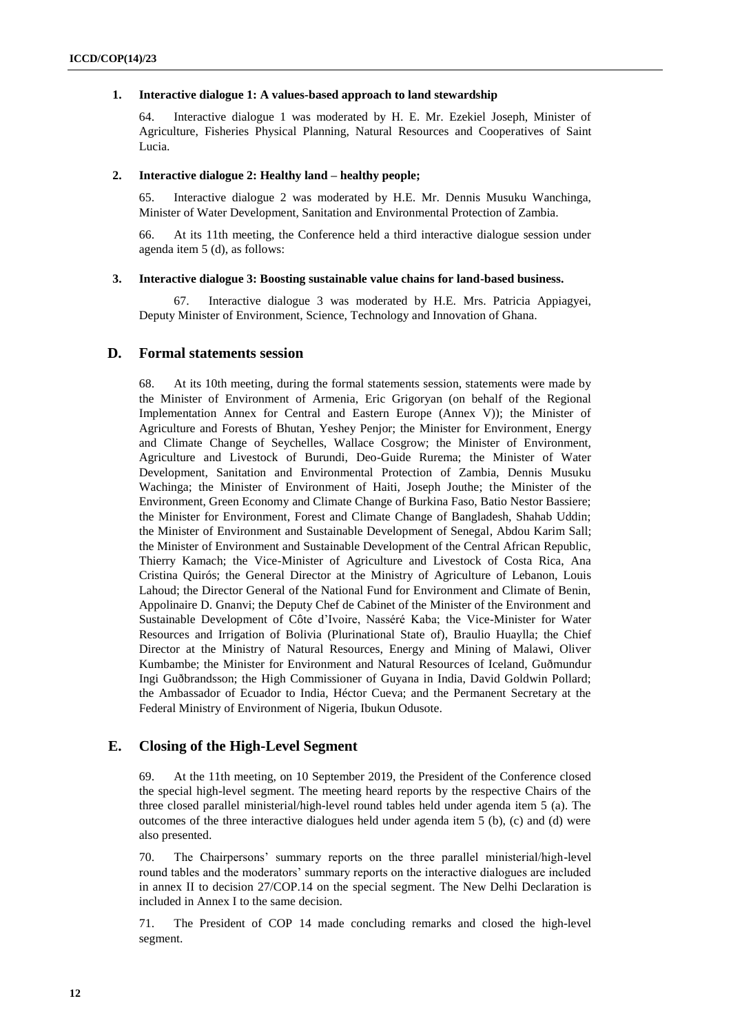#### **1. Interactive dialogue 1: A values-based approach to land stewardship**

64. Interactive dialogue 1 was moderated by H. E. Mr. Ezekiel Joseph, Minister of Agriculture, Fisheries Physical Planning, Natural Resources and Cooperatives of Saint Lucia.

#### **2. Interactive dialogue 2: Healthy land – healthy people;**

65. Interactive dialogue 2 was moderated by H.E. Mr. Dennis Musuku Wanchinga, Minister of Water Development, Sanitation and Environmental Protection of Zambia.

66. At its 11th meeting, the Conference held a third interactive dialogue session under agenda item 5 (d), as follows:

#### **3. Interactive dialogue 3: Boosting sustainable value chains for land-based business.**

Interactive dialogue 3 was moderated by H.E. Mrs. Patricia Appiagyei, Deputy Minister of Environment, Science, Technology and Innovation of Ghana.

#### **D. Formal statements session**

68. At its 10th meeting, during the formal statements session, statements were made by the Minister of Environment of Armenia, Eric Grigoryan (on behalf of the Regional Implementation Annex for Central and Eastern Europe (Annex V)); the Minister of Agriculture and Forests of Bhutan, Yeshey Penjor; the Minister for Environment, Energy and Climate Change of Seychelles, Wallace Cosgrow; the Minister of Environment, Agriculture and Livestock of Burundi, Deo-Guide Rurema; the Minister of Water Development, Sanitation and Environmental Protection of Zambia, Dennis Musuku Wachinga; the Minister of Environment of Haiti, Joseph Jouthe; the Minister of the Environment, Green Economy and Climate Change of Burkina Faso, Batio Nestor Bassiere; the Minister for Environment, Forest and Climate Change of Bangladesh, Shahab Uddin; the Minister of Environment and Sustainable Development of Senegal, Abdou Karim Sall; the Minister of Environment and Sustainable Development of the Central African Republic, Thierry Kamach; the Vice-Minister of Agriculture and Livestock of Costa Rica, Ana Cristina Quirós; the General Director at the Ministry of Agriculture of Lebanon, Louis Lahoud; the Director General of the National Fund for Environment and Climate of Benin, Appolinaire D. Gnanvi; the Deputy Chef de Cabinet of the Minister of the Environment and Sustainable Development of Côte d'Ivoire, Nasséré Kaba; the Vice-Minister for Water Resources and Irrigation of Bolivia (Plurinational State of), Braulio Huaylla; the Chief Director at the Ministry of Natural Resources, Energy and Mining of Malawi, Oliver Kumbambe; the Minister for Environment and Natural Resources of Iceland, Guðmundur Ingi Guðbrandsson; the High Commissioner of Guyana in India, David Goldwin Pollard; the Ambassador of Ecuador to India, Héctor Cueva; and the Permanent Secretary at the Federal Ministry of Environment of Nigeria, Ibukun Odusote.

### **E. Closing of the High-Level Segment**

69. At the 11th meeting, on 10 September 2019, the President of the Conference closed the special high-level segment. The meeting heard reports by the respective Chairs of the three closed parallel ministerial/high-level round tables held under agenda item 5 (a). The outcomes of the three interactive dialogues held under agenda item 5 (b), (c) and (d) were also presented.

70. The Chairpersons' summary reports on the three parallel ministerial/high-level round tables and the moderators' summary reports on the interactive dialogues are included in annex II to decision 27/COP.14 on the special segment. The New Delhi Declaration is included in Annex I to the same decision.

71. The President of COP 14 made concluding remarks and closed the high-level segment.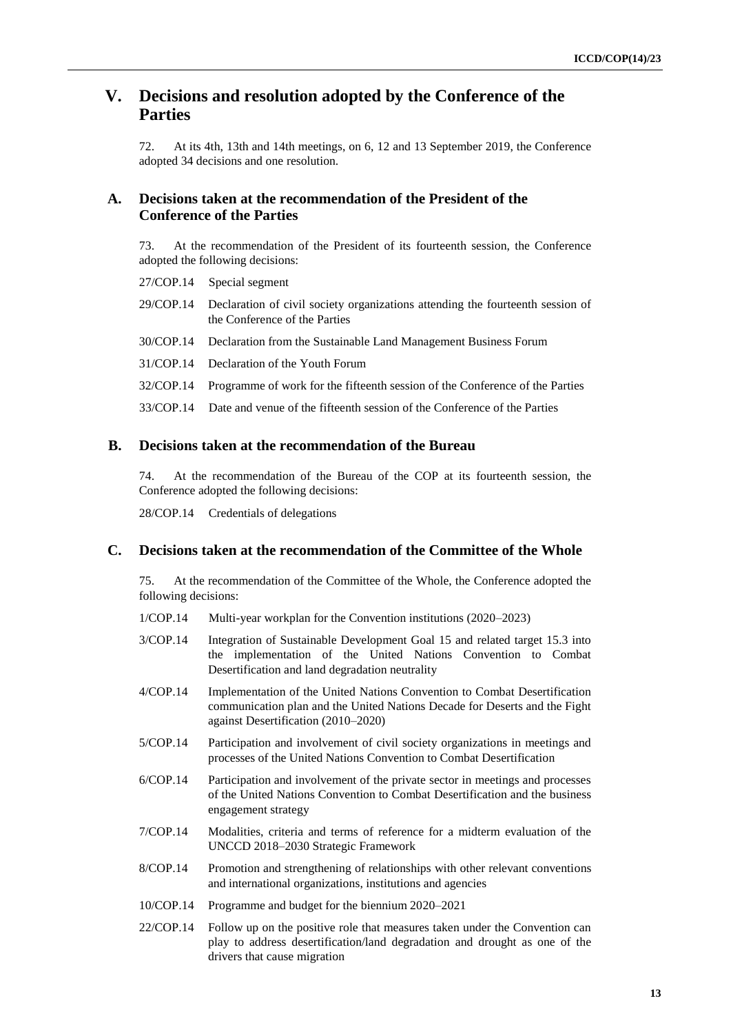## **V. Decisions and resolution adopted by the Conference of the Parties**

72. At its 4th, 13th and 14th meetings, on 6, 12 and 13 September 2019, the Conference adopted 34 decisions and one resolution.

### **A. Decisions taken at the recommendation of the President of the Conference of the Parties**

73. At the recommendation of the President of its fourteenth session, the Conference adopted the following decisions:

27/COP.14 Special segment

- 29/COP.14 Declaration of civil society organizations attending the fourteenth session of the Conference of the Parties
- 30/COP.14 Declaration from the Sustainable Land Management Business Forum
- 31/COP.14 Declaration of the Youth Forum
- 32/COP.14 Programme of work for the fifteenth session of the Conference of the Parties

33/COP.14 Date and venue of the fifteenth session of the Conference of the Parties

### **B. Decisions taken at the recommendation of the Bureau**

74. At the recommendation of the Bureau of the COP at its fourteenth session, the Conference adopted the following decisions:

28/COP.14 Credentials of delegations

### **C. Decisions taken at the recommendation of the Committee of the Whole**

75. At the recommendation of the Committee of the Whole, the Conference adopted the following decisions:

- 1/COP.14 Multi-year workplan for the Convention institutions (2020–2023)
- 3/COP.14 Integration of Sustainable Development Goal 15 and related target 15.3 into the implementation of the United Nations Convention to Combat Desertification and land degradation neutrality
- 4/COP.14 Implementation of the United Nations Convention to Combat Desertification communication plan and the United Nations Decade for Deserts and the Fight against Desertification (2010–2020)
- 5/COP.14 Participation and involvement of civil society organizations in meetings and processes of the United Nations Convention to Combat Desertification
- 6/COP.14 Participation and involvement of the private sector in meetings and processes of the United Nations Convention to Combat Desertification and the business engagement strategy
- 7/COP.14 Modalities, criteria and terms of reference for a midterm evaluation of the UNCCD 2018–2030 Strategic Framework
- 8/COP.14 Promotion and strengthening of relationships with other relevant conventions and international organizations, institutions and agencies
- 10/COP.14 Programme and budget for the biennium 2020–2021
- 22/COP.14 Follow up on the positive role that measures taken under the Convention can play to address desertification/land degradation and drought as one of the drivers that cause migration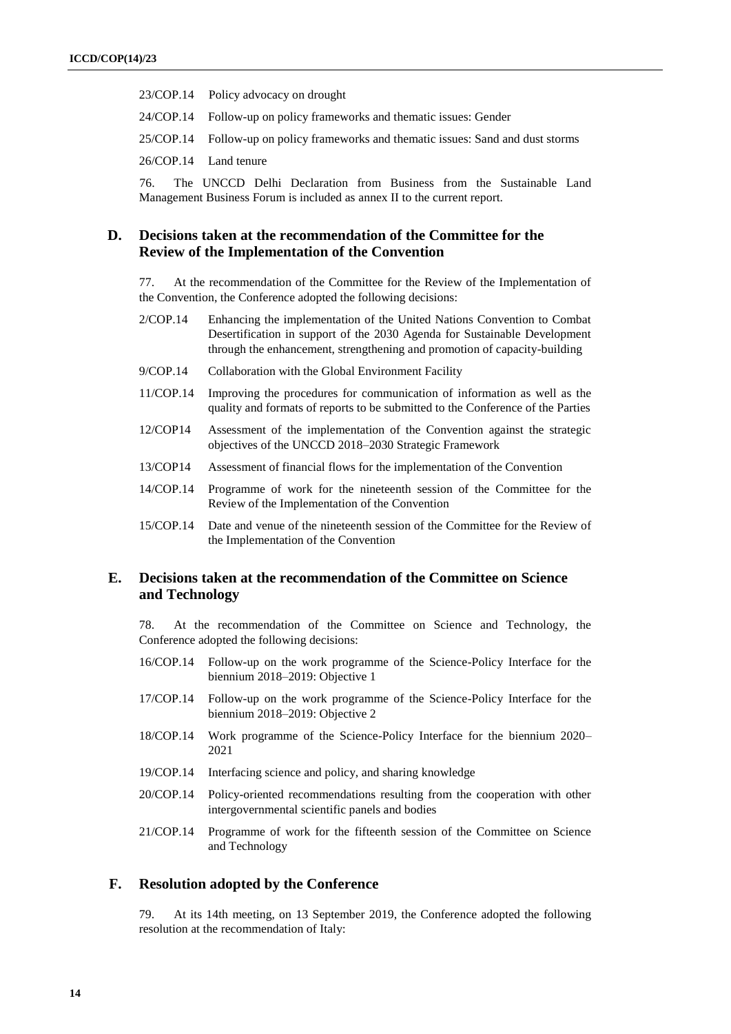- 23/COP.14 Policy advocacy on drought
- 24/COP.14 Follow-up on policy frameworks and thematic issues: Gender
- 25/COP.14 Follow-up on policy frameworks and thematic issues: Sand and dust storms
- 26/COP.14 Land tenure

76. The UNCCD Delhi Declaration from Business from the Sustainable Land Management Business Forum is included as annex II to the current report.

### **D. Decisions taken at the recommendation of the Committee for the Review of the Implementation of the Convention**

77. At the recommendation of the Committee for the Review of the Implementation of the Convention, the Conference adopted the following decisions:

- 2/COP.14 Enhancing the implementation of the United Nations Convention to Combat Desertification in support of the 2030 Agenda for Sustainable Development through the enhancement, strengthening and promotion of capacity-building
- 9/COP.14 Collaboration with the Global Environment Facility
- 11/COP.14 Improving the procedures for communication of information as well as the quality and formats of reports to be submitted to the Conference of the Parties
- 12/COP14 Assessment of the implementation of the Convention against the strategic objectives of the UNCCD 2018–2030 Strategic Framework
- 13/COP14 Assessment of financial flows for the implementation of the Convention
- 14/COP.14 Programme of work for the nineteenth session of the Committee for the Review of the Implementation of the Convention
- 15/COP.14 Date and venue of the nineteenth session of the Committee for the Review of the Implementation of the Convention

### **E. Decisions taken at the recommendation of the Committee on Science and Technology**

78. At the recommendation of the Committee on Science and Technology, the Conference adopted the following decisions:

- 16/COP.14 Follow-up on the work programme of the Science-Policy Interface for the biennium 2018–2019: Objective 1
- 17/COP.14 Follow-up on the work programme of the Science-Policy Interface for the biennium 2018–2019: Objective 2
- 18/COP.14 Work programme of the Science-Policy Interface for the biennium 2020– 2021
- 19/COP.14 Interfacing science and policy, and sharing knowledge
- 20/COP.14 Policy-oriented recommendations resulting from the cooperation with other intergovernmental scientific panels and bodies
- 21/COP.14 Programme of work for the fifteenth session of the Committee on Science and Technology

### **F. Resolution adopted by the Conference**

79. At its 14th meeting, on 13 September 2019, the Conference adopted the following resolution at the recommendation of Italy: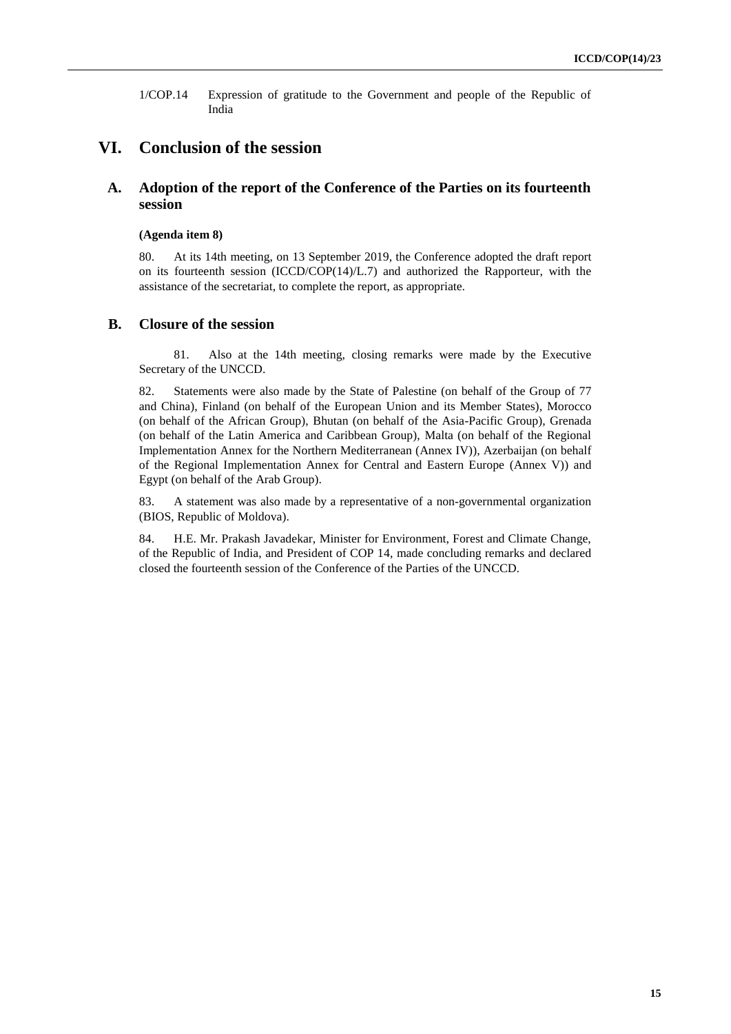1/COP.14 Expression of gratitude to the Government and people of the Republic of India

## **VI. Conclusion of the session**

### **A. Adoption of the report of the Conference of the Parties on its fourteenth session**

#### **(Agenda item 8)**

80. At its 14th meeting, on 13 September 2019, the Conference adopted the draft report on its fourteenth session  $(ICCD/COP(14)/L.7)$  and authorized the Rapporteur, with the assistance of the secretariat, to complete the report, as appropriate.

#### **B. Closure of the session**

81. Also at the 14th meeting, closing remarks were made by the Executive Secretary of the UNCCD.

82. Statements were also made by the State of Palestine (on behalf of the Group of 77 and China), Finland (on behalf of the European Union and its Member States), Morocco (on behalf of the African Group), Bhutan (on behalf of the Asia-Pacific Group), Grenada (on behalf of the Latin America and Caribbean Group), Malta (on behalf of the Regional Implementation Annex for the Northern Mediterranean (Annex IV)), Azerbaijan (on behalf of the Regional Implementation Annex for Central and Eastern Europe (Annex V)) and Egypt (on behalf of the Arab Group).

83. A statement was also made by a representative of a non-governmental organization (BIOS, Republic of Moldova).

84. H.E. Mr. Prakash Javadekar, Minister for Environment, Forest and Climate Change, of the Republic of India, and President of COP 14, made concluding remarks and declared closed the fourteenth session of the Conference of the Parties of the UNCCD.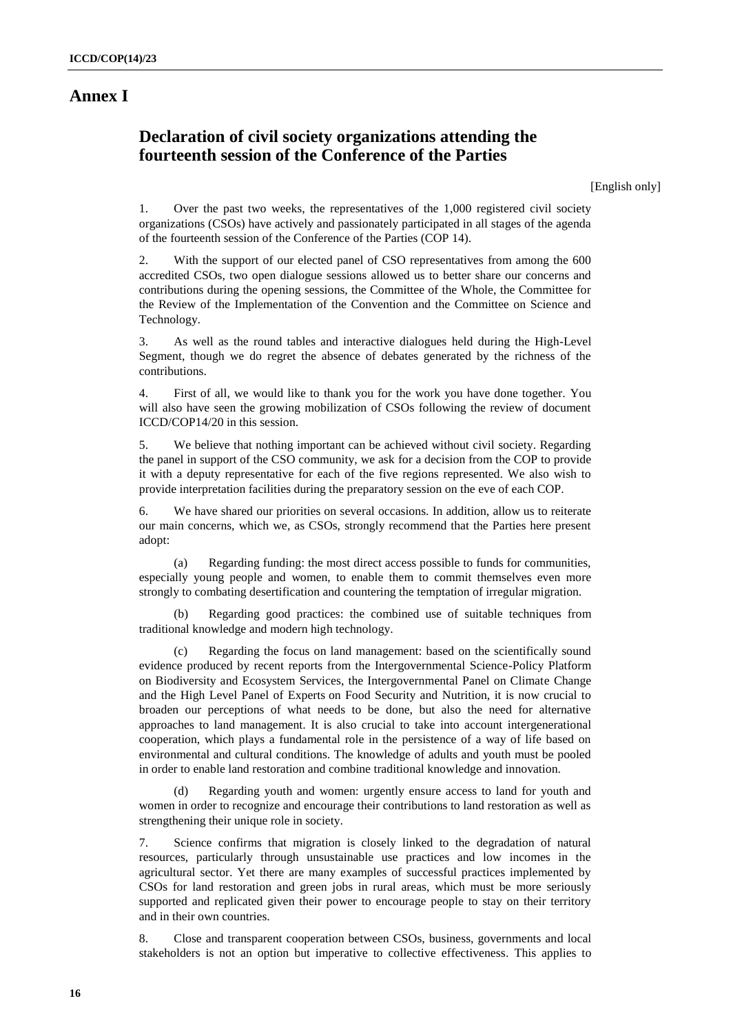## **Annex I**

## **Declaration of civil society organizations attending the fourteenth session of the Conference of the Parties**

[English only]

1. Over the past two weeks, the representatives of the 1,000 registered civil society organizations (CSOs) have actively and passionately participated in all stages of the agenda of the fourteenth session of the Conference of the Parties (COP 14).

2. With the support of our elected panel of CSO representatives from among the 600 accredited CSOs, two open dialogue sessions allowed us to better share our concerns and contributions during the opening sessions, the Committee of the Whole, the Committee for the Review of the Implementation of the Convention and the Committee on Science and Technology.

3. As well as the round tables and interactive dialogues held during the High-Level Segment, though we do regret the absence of debates generated by the richness of the contributions.

4. First of all, we would like to thank you for the work you have done together. You will also have seen the growing mobilization of CSOs following the review of document ICCD/COP14/20 in this session.

5. We believe that nothing important can be achieved without civil society. Regarding the panel in support of the CSO community, we ask for a decision from the COP to provide it with a deputy representative for each of the five regions represented. We also wish to provide interpretation facilities during the preparatory session on the eve of each COP.

6. We have shared our priorities on several occasions. In addition, allow us to reiterate our main concerns, which we, as CSOs, strongly recommend that the Parties here present adopt:

(a) Regarding funding: the most direct access possible to funds for communities, especially young people and women, to enable them to commit themselves even more strongly to combating desertification and countering the temptation of irregular migration.

(b) Regarding good practices: the combined use of suitable techniques from traditional knowledge and modern high technology.

Regarding the focus on land management: based on the scientifically sound evidence produced by recent reports from the Intergovernmental Science-Policy Platform on Biodiversity and Ecosystem Services, the Intergovernmental Panel on Climate Change and the High Level Panel of Experts on Food Security and Nutrition, it is now crucial to broaden our perceptions of what needs to be done, but also the need for alternative approaches to land management. It is also crucial to take into account intergenerational cooperation, which plays a fundamental role in the persistence of a way of life based on environmental and cultural conditions. The knowledge of adults and youth must be pooled in order to enable land restoration and combine traditional knowledge and innovation.

Regarding youth and women: urgently ensure access to land for youth and women in order to recognize and encourage their contributions to land restoration as well as strengthening their unique role in society.

7. Science confirms that migration is closely linked to the degradation of natural resources, particularly through unsustainable use practices and low incomes in the agricultural sector. Yet there are many examples of successful practices implemented by CSOs for land restoration and green jobs in rural areas, which must be more seriously supported and replicated given their power to encourage people to stay on their territory and in their own countries.

8. Close and transparent cooperation between CSOs, business, governments and local stakeholders is not an option but imperative to collective effectiveness. This applies to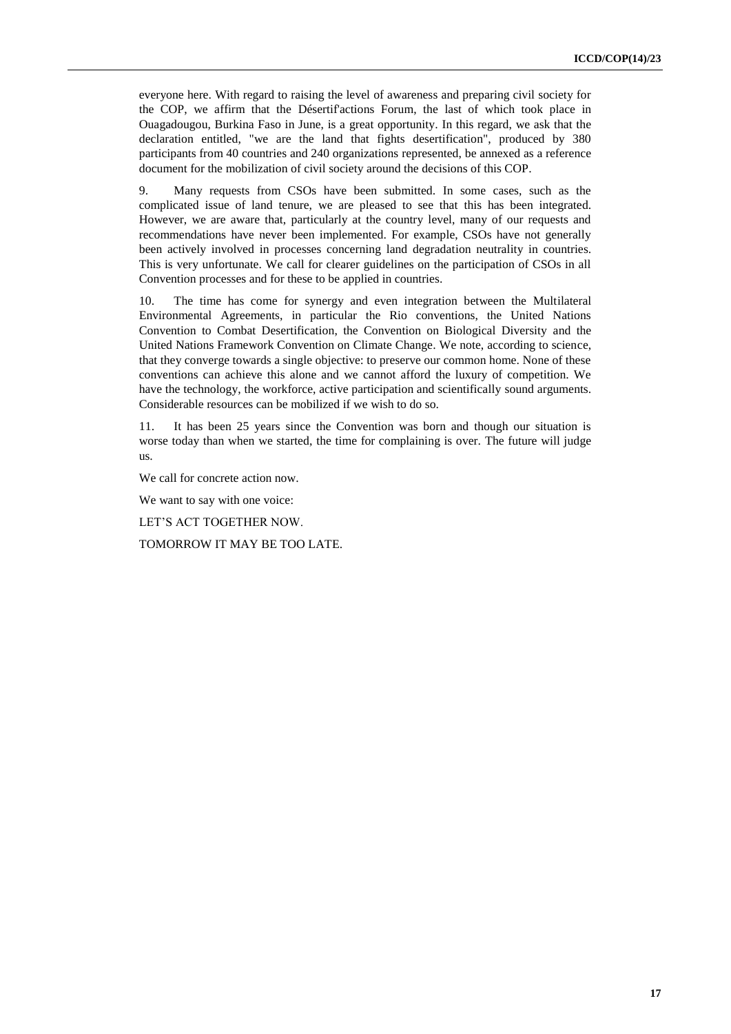everyone here. With regard to raising the level of awareness and preparing civil society for the COP, we affirm that the Désertif'actions Forum, the last of which took place in Ouagadougou, Burkina Faso in June, is a great opportunity. In this regard, we ask that the declaration entitled, "we are the land that fights desertification", produced by 380 participants from 40 countries and 240 organizations represented, be annexed as a reference document for the mobilization of civil society around the decisions of this COP.

9. Many requests from CSOs have been submitted. In some cases, such as the complicated issue of land tenure, we are pleased to see that this has been integrated. However, we are aware that, particularly at the country level, many of our requests and recommendations have never been implemented. For example, CSOs have not generally been actively involved in processes concerning land degradation neutrality in countries. This is very unfortunate. We call for clearer guidelines on the participation of CSOs in all Convention processes and for these to be applied in countries.

10. The time has come for synergy and even integration between the Multilateral Environmental Agreements, in particular the Rio conventions, the United Nations Convention to Combat Desertification, the Convention on Biological Diversity and the United Nations Framework Convention on Climate Change. We note, according to science, that they converge towards a single objective: to preserve our common home. None of these conventions can achieve this alone and we cannot afford the luxury of competition. We have the technology, the workforce, active participation and scientifically sound arguments. Considerable resources can be mobilized if we wish to do so.

11. It has been 25 years since the Convention was born and though our situation is worse today than when we started, the time for complaining is over. The future will judge us.

We call for concrete action now.

We want to say with one voice:

LET'S ACT TOGETHER NOW.

TOMORROW IT MAY BE TOO LATE.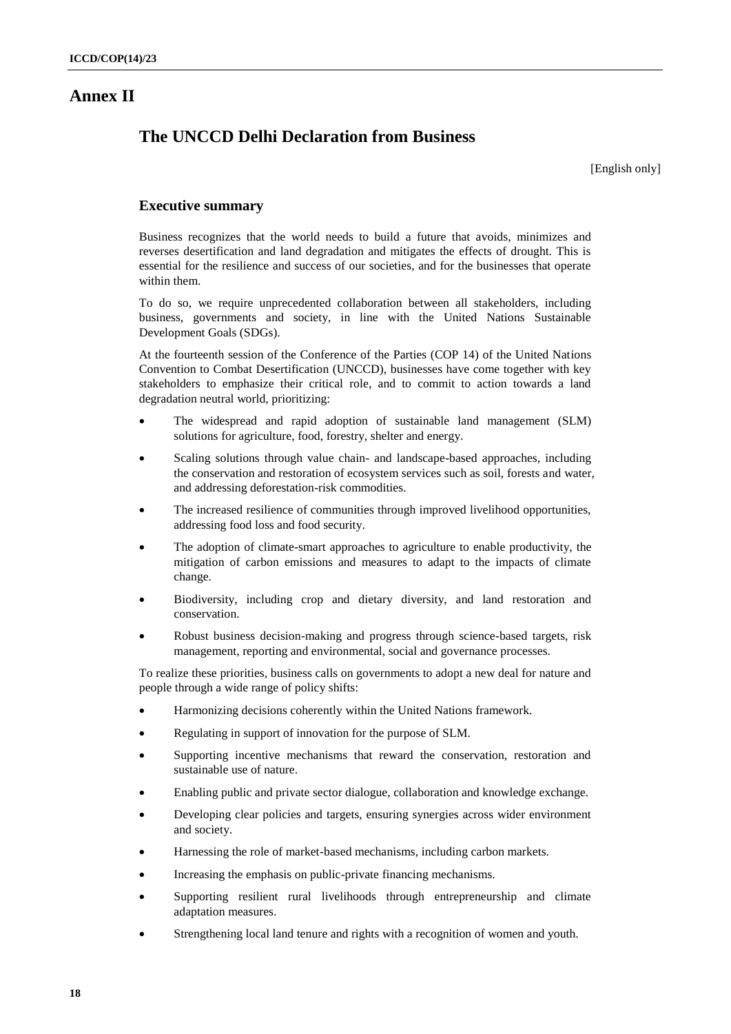## **Annex II**

## **The UNCCD Delhi Declaration from Business**

[English only]

### **Executive summary**

Business recognizes that the world needs to build a future that avoids, minimizes and reverses desertification and land degradation and mitigates the effects of drought. This is essential for the resilience and success of our societies, and for the businesses that operate within them.

To do so, we require unprecedented collaboration between all stakeholders, including business, governments and society, in line with the United Nations Sustainable Development Goals (SDGs).

At the fourteenth session of the Conference of the Parties (COP 14) of the United Nations Convention to Combat Desertification (UNCCD), businesses have come together with key stakeholders to emphasize their critical role, and to commit to action towards a land degradation neutral world, prioritizing:

- The widespread and rapid adoption of sustainable land management (SLM) solutions for agriculture, food, forestry, shelter and energy.
- Scaling solutions through value chain- and landscape-based approaches, including the conservation and restoration of ecosystem services such as soil, forests and water, and addressing deforestation-risk commodities.
- The increased resilience of communities through improved livelihood opportunities, addressing food loss and food security.
- The adoption of climate-smart approaches to agriculture to enable productivity, the mitigation of carbon emissions and measures to adapt to the impacts of climate change.
- Biodiversity, including crop and dietary diversity, and land restoration and conservation.
- Robust business decision-making and progress through science-based targets, risk management, reporting and environmental, social and governance processes.

To realize these priorities, business calls on governments to adopt a new deal for nature and people through a wide range of policy shifts:

- Harmonizing decisions coherently within the United Nations framework.
- Regulating in support of innovation for the purpose of SLM.
- Supporting incentive mechanisms that reward the conservation, restoration and sustainable use of nature.
- Enabling public and private sector dialogue, collaboration and knowledge exchange.
- Developing clear policies and targets, ensuring synergies across wider environment and society.
- Harnessing the role of market-based mechanisms, including carbon markets.
- Increasing the emphasis on public-private financing mechanisms.
- Supporting resilient rural livelihoods through entrepreneurship and climate adaptation measures.
- Strengthening local land tenure and rights with a recognition of women and youth.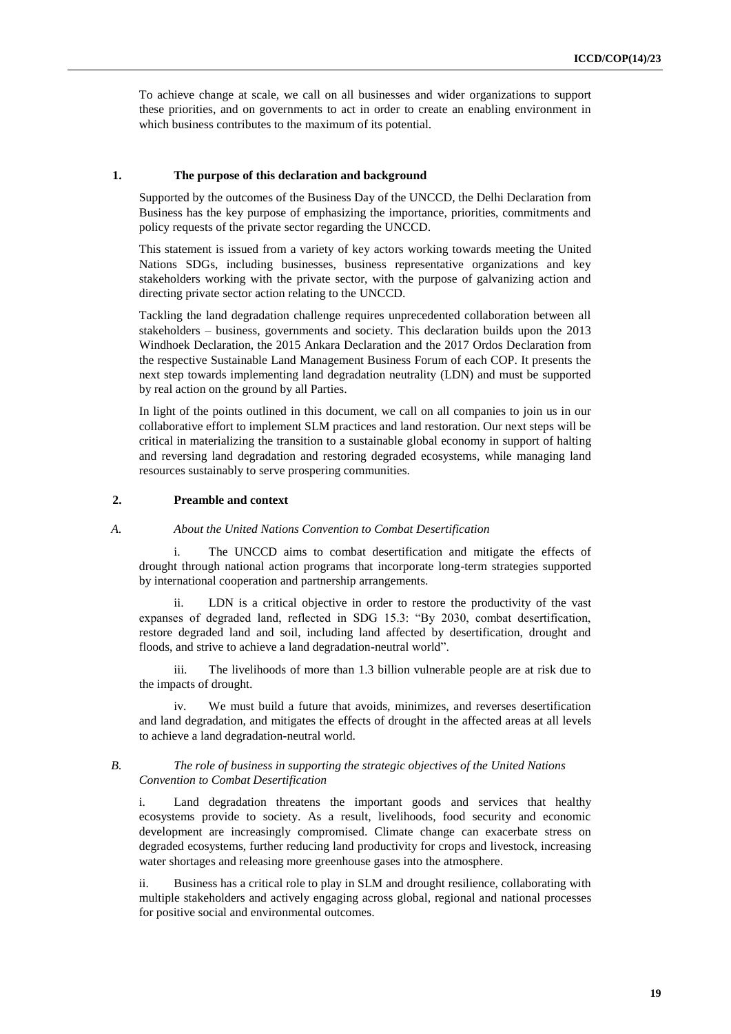To achieve change at scale, we call on all businesses and wider organizations to support these priorities, and on governments to act in order to create an enabling environment in which business contributes to the maximum of its potential.

#### **1. The purpose of this declaration and background**

Supported by the outcomes of the Business Day of the UNCCD, the Delhi Declaration from Business has the key purpose of emphasizing the importance, priorities, commitments and policy requests of the private sector regarding the UNCCD.

This statement is issued from a variety of key actors working towards meeting the United Nations SDGs, including businesses, business representative organizations and key stakeholders working with the private sector, with the purpose of galvanizing action and directing private sector action relating to the UNCCD.

Tackling the land degradation challenge requires unprecedented collaboration between all stakeholders – business, governments and society. This declaration builds upon the 2013 Windhoek Declaration, the 2015 Ankara Declaration and the 2017 Ordos Declaration from the respective Sustainable Land Management Business Forum of each COP. It presents the next step towards implementing land degradation neutrality (LDN) and must be supported by real action on the ground by all Parties.

In light of the points outlined in this document, we call on all companies to join us in our collaborative effort to implement SLM practices and land restoration. Our next steps will be critical in materializing the transition to a sustainable global economy in support of halting and reversing land degradation and restoring degraded ecosystems, while managing land resources sustainably to serve prospering communities.

#### **2. Preamble and context**

#### *A. About the United Nations Convention to Combat Desertification*

The UNCCD aims to combat desertification and mitigate the effects of drought through national action programs that incorporate long-term strategies supported by international cooperation and partnership arrangements.

LDN is a critical objective in order to restore the productivity of the vast expanses of degraded land, reflected in SDG 15.3: "By 2030, combat desertification, restore degraded land and soil, including land affected by desertification, drought and floods, and strive to achieve a land degradation-neutral world".

iii. The livelihoods of more than 1.3 billion vulnerable people are at risk due to the impacts of drought.

iv. We must build a future that avoids, minimizes, and reverses desertification and land degradation, and mitigates the effects of drought in the affected areas at all levels to achieve a land degradation-neutral world.

#### *B. The role of business in supporting the strategic objectives of the United Nations Convention to Combat Desertification*

i. Land degradation threatens the important goods and services that healthy ecosystems provide to society. As a result, livelihoods, food security and economic development are increasingly compromised. Climate change can exacerbate stress on degraded ecosystems, further reducing land productivity for crops and livestock, increasing water shortages and releasing more greenhouse gases into the atmosphere.

ii. Business has a critical role to play in SLM and drought resilience, collaborating with multiple stakeholders and actively engaging across global, regional and national processes for positive social and environmental outcomes.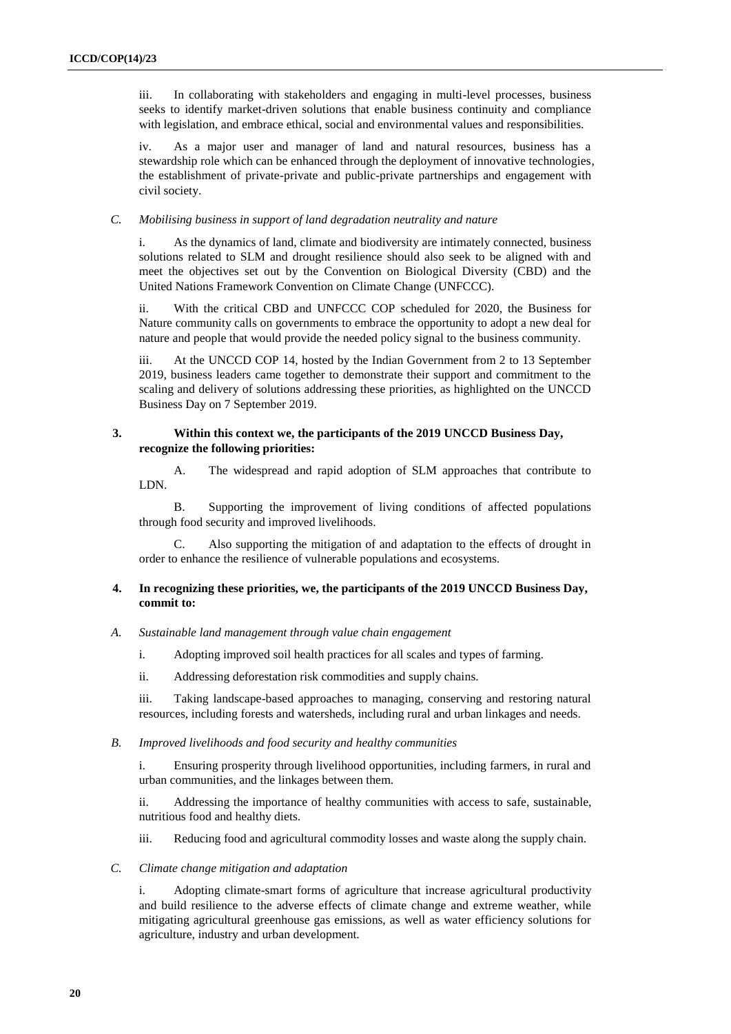iii. In collaborating with stakeholders and engaging in multi-level processes, business seeks to identify market-driven solutions that enable business continuity and compliance with legislation, and embrace ethical, social and environmental values and responsibilities.

iv. As a major user and manager of land and natural resources, business has a stewardship role which can be enhanced through the deployment of innovative technologies, the establishment of private-private and public-private partnerships and engagement with civil society.

#### *C. Mobilising business in support of land degradation neutrality and nature*

i. As the dynamics of land, climate and biodiversity are intimately connected, business solutions related to SLM and drought resilience should also seek to be aligned with and meet the objectives set out by the Convention on Biological Diversity (CBD) and the United Nations Framework Convention on Climate Change (UNFCCC).

ii. With the critical CBD and UNFCCC COP scheduled for 2020, the Business for Nature community calls on governments to embrace the opportunity to adopt a new deal for nature and people that would provide the needed policy signal to the business community.

iii. At the UNCCD COP 14, hosted by the Indian Government from 2 to 13 September 2019, business leaders came together to demonstrate their support and commitment to the scaling and delivery of solutions addressing these priorities, as highlighted on the UNCCD Business Day on 7 September 2019.

#### **3. Within this context we, the participants of the 2019 UNCCD Business Day, recognize the following priorities:**

A. The widespread and rapid adoption of SLM approaches that contribute to LDN.

B. Supporting the improvement of living conditions of affected populations through food security and improved livelihoods.

Also supporting the mitigation of and adaptation to the effects of drought in order to enhance the resilience of vulnerable populations and ecosystems.

#### **4. In recognizing these priorities, we, the participants of the 2019 UNCCD Business Day, commit to:**

- *A. Sustainable land management through value chain engagement*
	- i. Adopting improved soil health practices for all scales and types of farming.
	- ii. Addressing deforestation risk commodities and supply chains.

iii. Taking landscape-based approaches to managing, conserving and restoring natural resources, including forests and watersheds, including rural and urban linkages and needs.

#### *B. Improved livelihoods and food security and healthy communities*

i. Ensuring prosperity through livelihood opportunities, including farmers, in rural and urban communities, and the linkages between them.

ii. Addressing the importance of healthy communities with access to safe, sustainable, nutritious food and healthy diets.

iii. Reducing food and agricultural commodity losses and waste along the supply chain.

*C. Climate change mitigation and adaptation*

i. Adopting climate-smart forms of agriculture that increase agricultural productivity and build resilience to the adverse effects of climate change and extreme weather, while mitigating agricultural greenhouse gas emissions, as well as water efficiency solutions for agriculture, industry and urban development.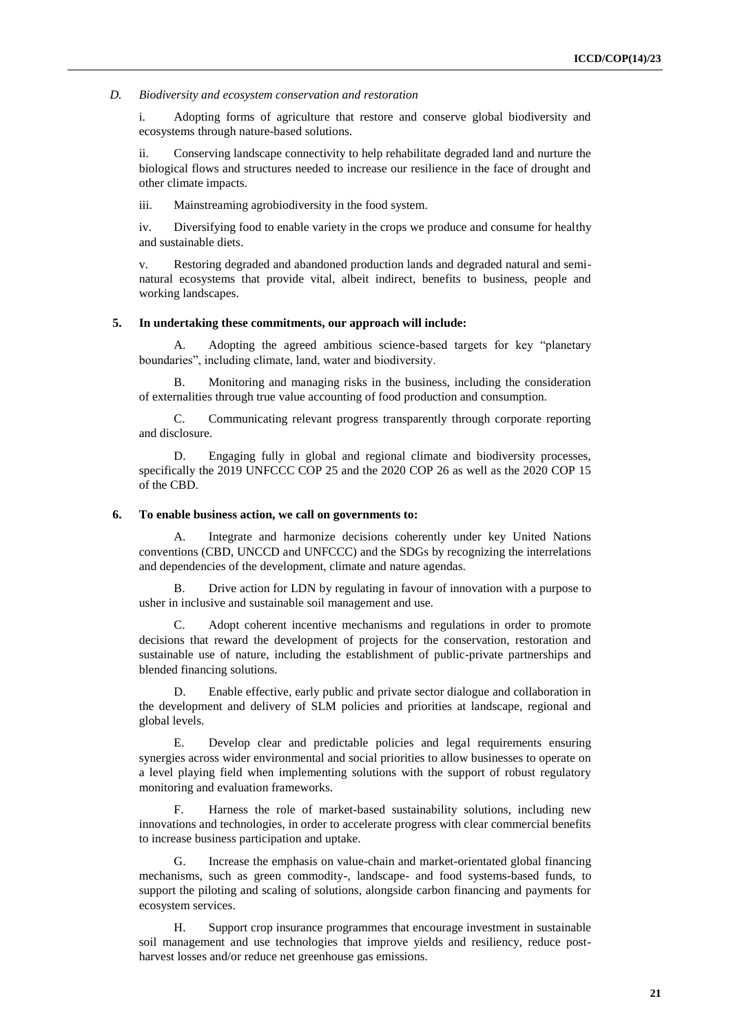#### *D. Biodiversity and ecosystem conservation and restoration*

i. Adopting forms of agriculture that restore and conserve global biodiversity and ecosystems through nature-based solutions.

ii. Conserving landscape connectivity to help rehabilitate degraded land and nurture the biological flows and structures needed to increase our resilience in the face of drought and other climate impacts.

iii. Mainstreaming agrobiodiversity in the food system.

iv. Diversifying food to enable variety in the crops we produce and consume for healthy and sustainable diets.

v. Restoring degraded and abandoned production lands and degraded natural and seminatural ecosystems that provide vital, albeit indirect, benefits to business, people and working landscapes.

#### **5. In undertaking these commitments, our approach will include:**

Adopting the agreed ambitious science-based targets for key "planetary boundaries", including climate, land, water and biodiversity.

B. Monitoring and managing risks in the business, including the consideration of externalities through true value accounting of food production and consumption.

C. Communicating relevant progress transparently through corporate reporting and disclosure.

D. Engaging fully in global and regional climate and biodiversity processes, specifically the 2019 UNFCCC COP 25 and the 2020 COP 26 as well as the 2020 COP 15 of the CBD.

#### **6. To enable business action, we call on governments to:**

A. Integrate and harmonize decisions coherently under key United Nations conventions (CBD, UNCCD and UNFCCC) and the SDGs by recognizing the interrelations and dependencies of the development, climate and nature agendas.

B. Drive action for LDN by regulating in favour of innovation with a purpose to usher in inclusive and sustainable soil management and use.

C. Adopt coherent incentive mechanisms and regulations in order to promote decisions that reward the development of projects for the conservation, restoration and sustainable use of nature, including the establishment of public-private partnerships and blended financing solutions.

D. Enable effective, early public and private sector dialogue and collaboration in the development and delivery of SLM policies and priorities at landscape, regional and global levels.

E. Develop clear and predictable policies and legal requirements ensuring synergies across wider environmental and social priorities to allow businesses to operate on a level playing field when implementing solutions with the support of robust regulatory monitoring and evaluation frameworks.

F. Harness the role of market-based sustainability solutions, including new innovations and technologies, in order to accelerate progress with clear commercial benefits to increase business participation and uptake.

G. Increase the emphasis on value-chain and market-orientated global financing mechanisms, such as green commodity-, landscape- and food systems-based funds, to support the piloting and scaling of solutions, alongside carbon financing and payments for ecosystem services.

H. Support crop insurance programmes that encourage investment in sustainable soil management and use technologies that improve yields and resiliency, reduce postharvest losses and/or reduce net greenhouse gas emissions.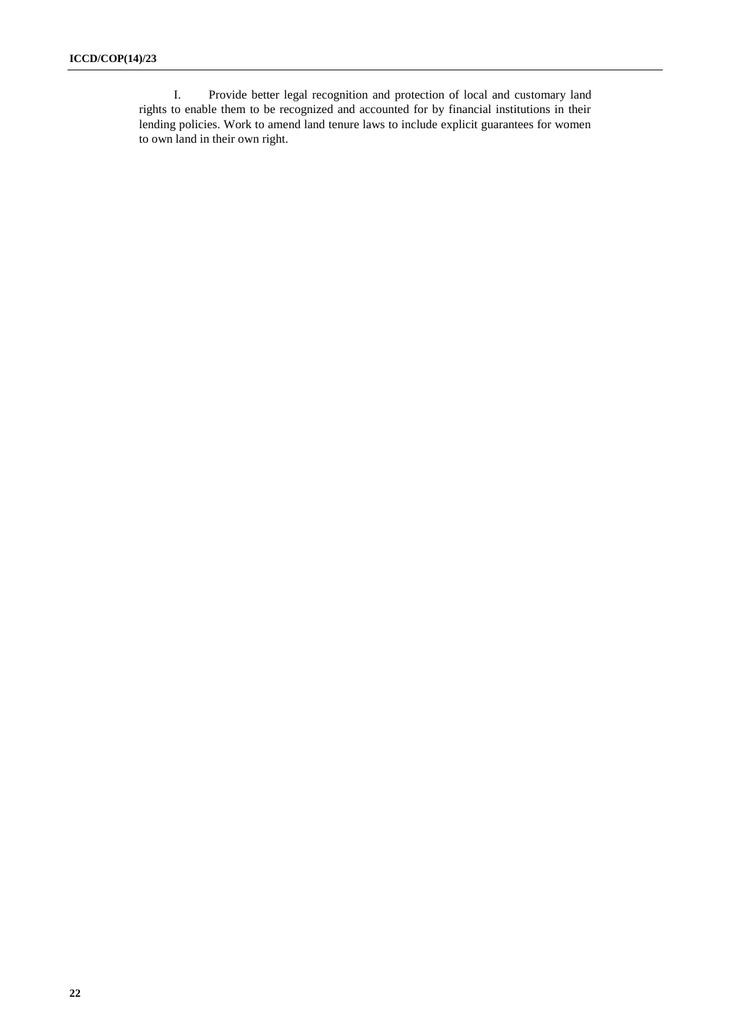I. Provide better legal recognition and protection of local and customary land rights to enable them to be recognized and accounted for by financial institutions in their lending policies. Work to amend land tenure laws to include explicit guarantees for women to own land in their own right.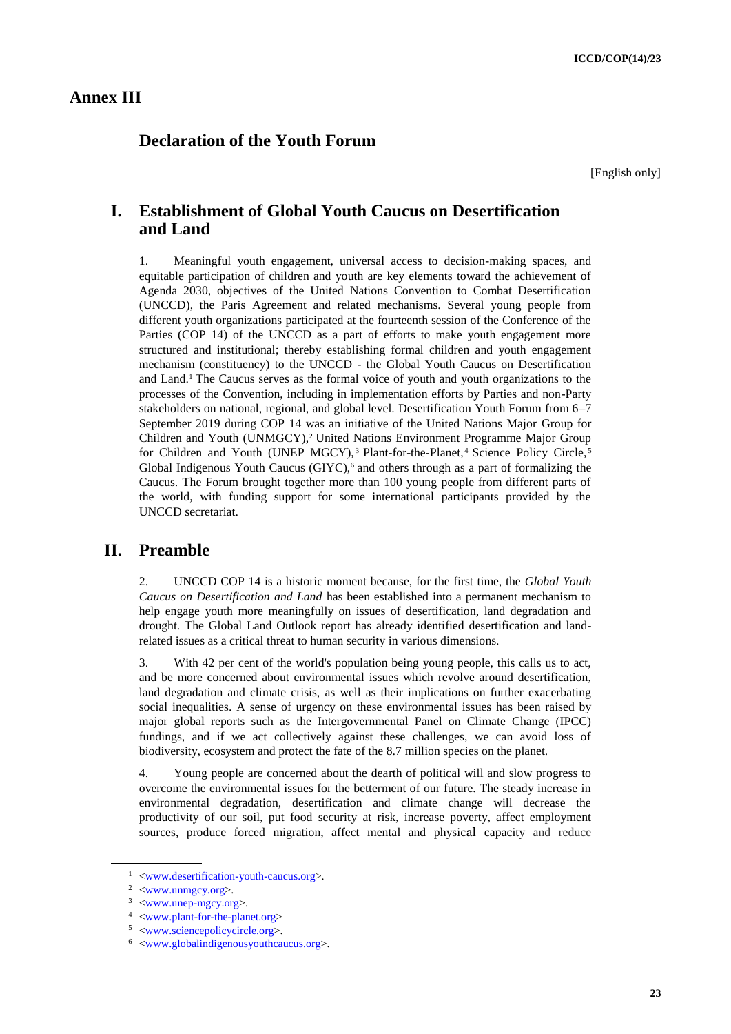## **Annex III**

## **Declaration of the Youth Forum**

[English only]

## **I. Establishment of Global Youth Caucus on Desertification and Land**

1. Meaningful youth engagement, universal access to decision-making spaces, and equitable participation of children and youth are key elements toward the achievement of Agenda 2030, objectives of the United Nations Convention to Combat Desertification (UNCCD), the Paris Agreement and related mechanisms. Several young people from different youth organizations participated at the fourteenth session of the Conference of the Parties (COP 14) of the UNCCD as a part of efforts to make youth engagement more structured and institutional; thereby establishing formal children and youth engagement mechanism (constituency) to the UNCCD - the Global Youth Caucus on Desertification and Land. <sup>1</sup> The Caucus serves as the formal voice of youth and youth organizations to the processes of the Convention, including in implementation efforts by Parties and non-Party stakeholders on national, regional, and global level. Desertification Youth Forum from 6–7 September 2019 during COP 14 was an initiative of the United Nations Major Group for Children and Youth (UNMGCY),<sup>2</sup> United Nations Environment Programme Major Group for Children and Youth (UNEP MGCY),<sup>3</sup> Plant-for-the-Planet,<sup>4</sup> Science Policy Circle,<sup>5</sup> Global Indigenous Youth Caucus (GIYC),<sup>6</sup> and others through as a part of formalizing the Caucus. The Forum brought together more than 100 young people from different parts of the world, with funding support for some international participants provided by the UNCCD secretariat.

## **II. Preamble**

2. UNCCD COP 14 is a historic moment because, for the first time, the *Global Youth Caucus on Desertification and Land* has been established into a permanent mechanism to help engage youth more meaningfully on issues of desertification, land degradation and drought. The Global Land Outlook report has already identified desertification and landrelated issues as a critical threat to human security in various dimensions.

3. With 42 per cent of the world's population being young people, this calls us to act, and be more concerned about environmental issues which revolve around desertification, land degradation and climate crisis, as well as their implications on further exacerbating social inequalities. A sense of urgency on these environmental issues has been raised by major global reports such as the Intergovernmental Panel on Climate Change (IPCC) fundings, and if we act collectively against these challenges, we can avoid loss of biodiversity, ecosystem and protect the fate of the 8.7 million species on the planet.

4. Young people are concerned about the dearth of political will and slow progress to overcome the environmental issues for the betterment of our future. The steady increase in environmental degradation, desertification and climate change will decrease the productivity of our soil, put food security at risk, increase poverty, affect employment sources, produce forced migration, affect mental and physical capacity and reduce

<sup>&</sup>lt;sup>1</sup> [<www.desertification-youth-caucus.org>](http://www.desertification-youth-caucus.org/).

<sup>2</sup> [<www.unmgcy.org>](http://www.unmgcy.org/).

 $3$  [<www.unep-mgcy.org>](http://www.unep-mgcy.org/).

<sup>4</sup> [<www.plant-for-the-planet.org>](http://www.plant-for-the-planet.org/)

<sup>5</sup> [<www.sciencepolicycircle.org>](http://www.sciencepolicycircle.org/).

<sup>6</sup> [<www.globalindigenousyouthcaucus.org>](http://www.globalindigenousyouthcaucus.org/).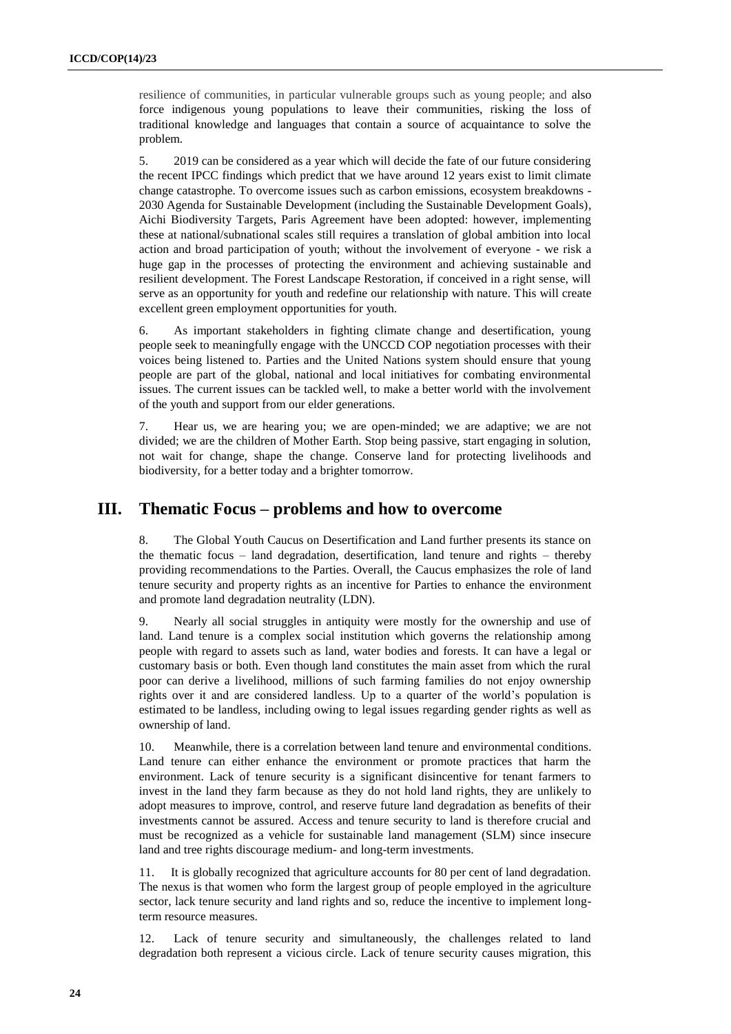resilience of communities, in particular vulnerable groups such as young people; and also force indigenous young populations to leave their communities, risking the loss of traditional knowledge and languages that contain a source of acquaintance to solve the problem.

5. 2019 can be considered as a year which will decide the fate of our future considering the recent IPCC findings which predict that we have around 12 years exist to limit climate change catastrophe. To overcome issues such as carbon emissions, ecosystem breakdowns - 2030 Agenda for Sustainable Development (including the Sustainable Development Goals), Aichi Biodiversity Targets, Paris Agreement have been adopted: however, implementing these at national/subnational scales still requires a translation of global ambition into local action and broad participation of youth; without the involvement of everyone - we risk a huge gap in the processes of protecting the environment and achieving sustainable and resilient development. The Forest Landscape Restoration, if conceived in a right sense, will serve as an opportunity for youth and redefine our relationship with nature. This will create excellent green employment opportunities for youth.

6. As important stakeholders in fighting climate change and desertification, young people seek to meaningfully engage with the UNCCD COP negotiation processes with their voices being listened to. Parties and the United Nations system should ensure that young people are part of the global, national and local initiatives for combating environmental issues. The current issues can be tackled well, to make a better world with the involvement of the youth and support from our elder generations.

7. Hear us, we are hearing you; we are open-minded; we are adaptive; we are not divided; we are the children of Mother Earth. Stop being passive, start engaging in solution, not wait for change, shape the change. Conserve land for protecting livelihoods and biodiversity, for a better today and a brighter tomorrow.

## **III. Thematic Focus – problems and how to overcome**

8. The Global Youth Caucus on Desertification and Land further presents its stance on the thematic focus – land degradation, desertification, land tenure and rights – thereby providing recommendations to the Parties. Overall, the Caucus emphasizes the role of land tenure security and property rights as an incentive for Parties to enhance the environment and promote land degradation neutrality (LDN).

9. Nearly all social struggles in antiquity were mostly for the ownership and use of land. Land tenure is a complex social institution which governs the relationship among people with regard to assets such as land, water bodies and forests. It can have a legal or customary basis or both. Even though land constitutes the main asset from which the rural poor can derive a livelihood, millions of such farming families do not enjoy ownership rights over it and are considered landless. Up to a quarter of the world's population is estimated to be landless, including owing to legal issues regarding gender rights as well as ownership of land.

10. Meanwhile, there is a correlation between land tenure and environmental conditions. Land tenure can either enhance the environment or promote practices that harm the environment. Lack of tenure security is a significant disincentive for tenant farmers to invest in the land they farm because as they do not hold land rights, they are unlikely to adopt measures to improve, control, and reserve future land degradation as benefits of their investments cannot be assured. Access and tenure security to land is therefore crucial and must be recognized as a vehicle for sustainable land management (SLM) since insecure land and tree rights discourage medium- and long-term investments.

11. It is globally recognized that agriculture accounts for 80 per cent of land degradation. The nexus is that women who form the largest group of people employed in the agriculture sector, lack tenure security and land rights and so, reduce the incentive to implement longterm resource measures.

12. Lack of tenure security and simultaneously, the challenges related to land degradation both represent a vicious circle. Lack of tenure security causes migration, this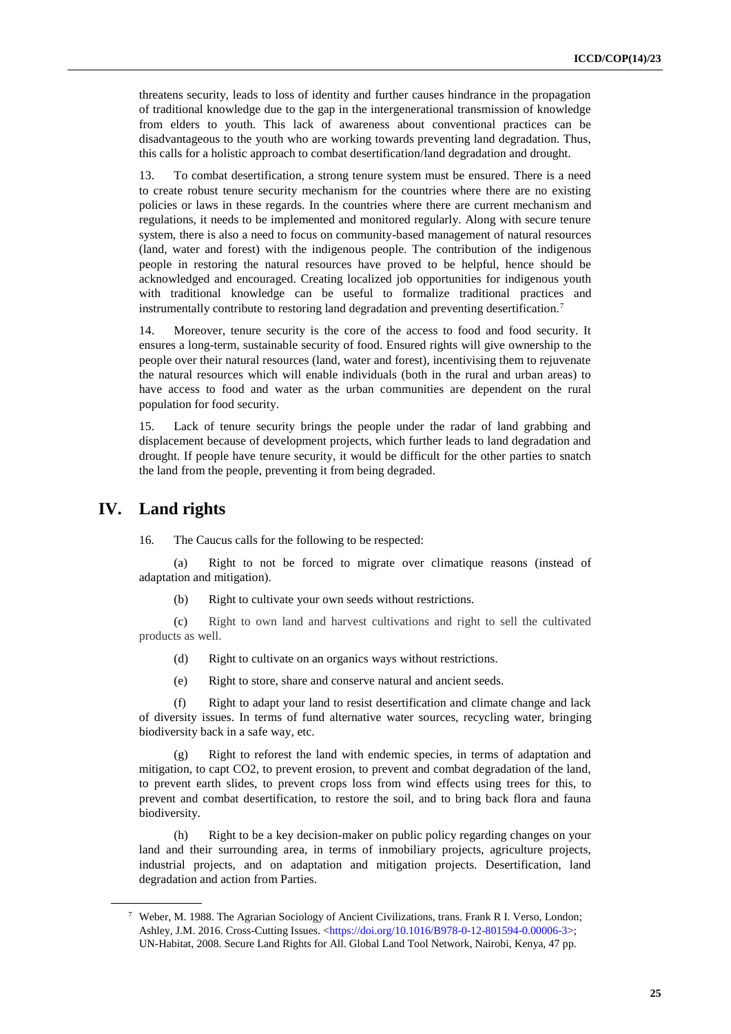threatens security, leads to loss of identity and further causes hindrance in the propagation of traditional knowledge due to the gap in the intergenerational transmission of knowledge from elders to youth. This lack of awareness about conventional practices can be disadvantageous to the youth who are working towards preventing land degradation. Thus, this calls for a holistic approach to combat desertification/land degradation and drought.

13. To combat desertification, a strong tenure system must be ensured. There is a need to create robust tenure security mechanism for the countries where there are no existing policies or laws in these regards. In the countries where there are current mechanism and regulations, it needs to be implemented and monitored regularly. Along with secure tenure system, there is also a need to focus on community-based management of natural resources (land, water and forest) with the indigenous people. The contribution of the indigenous people in restoring the natural resources have proved to be helpful, hence should be acknowledged and encouraged. Creating localized job opportunities for indigenous youth with traditional knowledge can be useful to formalize traditional practices and instrumentally contribute to restoring land degradation and preventing desertification.<sup>7</sup>

14. Moreover, tenure security is the core of the access to food and food security. It ensures a long-term, sustainable security of food. Ensured rights will give ownership to the people over their natural resources (land, water and forest), incentivising them to rejuvenate the natural resources which will enable individuals (both in the rural and urban areas) to have access to food and water as the urban communities are dependent on the rural population for food security.

15. Lack of tenure security brings the people under the radar of land grabbing and displacement because of development projects, which further leads to land degradation and drought. If people have tenure security, it would be difficult for the other parties to snatch the land from the people, preventing it from being degraded.

## **IV. Land rights**

16*.* The Caucus calls for the following to be respected:

(a) Right to not be forced to migrate over climatique reasons (instead of adaptation and mitigation).

(b) Right to cultivate your own seeds without restrictions.

(c) Right to own land and harvest cultivations and right to sell the cultivated products as well.

- (d) Right to cultivate on an organics ways without restrictions.
- (e) Right to store, share and conserve natural and ancient seeds.

(f) Right to adapt your land to resist desertification and climate change and lack of diversity issues. In terms of fund alternative water sources, recycling water, bringing biodiversity back in a safe way, etc.

(g) Right to reforest the land with endemic species, in terms of adaptation and mitigation, to capt CO2, to prevent erosion, to prevent and combat degradation of the land, to prevent earth slides, to prevent crops loss from wind effects using trees for this, to prevent and combat desertification, to restore the soil, and to bring back flora and fauna biodiversity.

(h) Right to be a key decision-maker on public policy regarding changes on your land and their surrounding area, in terms of inmobiliary projects, agriculture projects, industrial projects, and on adaptation and mitigation projects. Desertification, land degradation and action from Parties.

<sup>7</sup> Weber, M. 1988. The Agrarian Sociology of Ancient Civilizations, trans. Frank R I. Verso, London; Ashley, J.M. 2016. Cross-Cutting Issues. [<https://doi.org/10.1016/B978-0-12-801594-0.00006-3>](https://doi.org/10.1016/B978-0-12-801594-0.00006-3); UN-Habitat, 2008. Secure Land Rights for All. Global Land Tool Network, Nairobi, Kenya, 47 pp.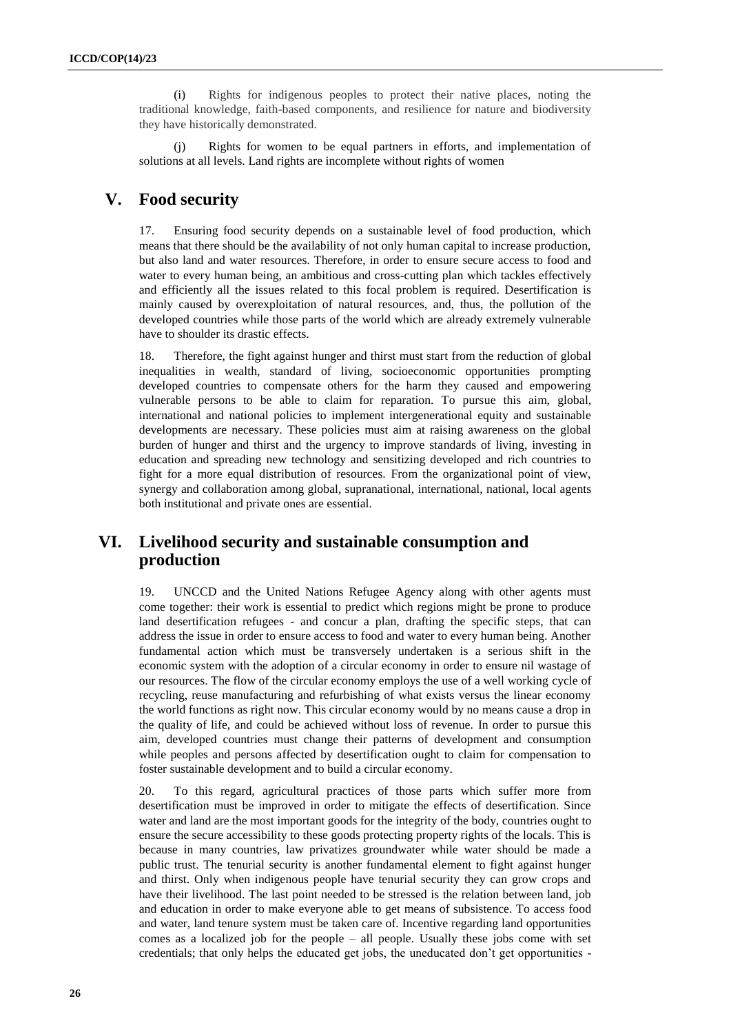(i) Rights for indigenous peoples to protect their native places, noting the traditional knowledge, faith-based components, and resilience for nature and biodiversity they have historically demonstrated.

(j) Rights for women to be equal partners in efforts, and implementation of solutions at all levels. Land rights are incomplete without rights of women

## **V. Food security**

17. Ensuring food security depends on a sustainable level of food production, which means that there should be the availability of not only human capital to increase production, but also land and water resources. Therefore, in order to ensure secure access to food and water to every human being, an ambitious and cross-cutting plan which tackles effectively and efficiently all the issues related to this focal problem is required. Desertification is mainly caused by overexploitation of natural resources, and, thus, the pollution of the developed countries while those parts of the world which are already extremely vulnerable have to shoulder its drastic effects.

18. Therefore, the fight against hunger and thirst must start from the reduction of global inequalities in wealth, standard of living, socioeconomic opportunities prompting developed countries to compensate others for the harm they caused and empowering vulnerable persons to be able to claim for reparation. To pursue this aim, global, international and national policies to implement intergenerational equity and sustainable developments are necessary. These policies must aim at raising awareness on the global burden of hunger and thirst and the urgency to improve standards of living, investing in education and spreading new technology and sensitizing developed and rich countries to fight for a more equal distribution of resources. From the organizational point of view, synergy and collaboration among global, supranational, international, national, local agents both institutional and private ones are essential.

## **VI. Livelihood security and sustainable consumption and production**

19. UNCCD and the United Nations Refugee Agency along with other agents must come together: their work is essential to predict which regions might be prone to produce land desertification refugees - and concur a plan, drafting the specific steps, that can address the issue in order to ensure access to food and water to every human being. Another fundamental action which must be transversely undertaken is a serious shift in the economic system with the adoption of a circular economy in order to ensure nil wastage of our resources. The flow of the circular economy employs the use of a well working cycle of recycling, reuse manufacturing and refurbishing of what exists versus the linear economy the world functions as right now. This circular economy would by no means cause a drop in the quality of life, and could be achieved without loss of revenue. In order to pursue this aim, developed countries must change their patterns of development and consumption while peoples and persons affected by desertification ought to claim for compensation to foster sustainable development and to build a circular economy.

20. To this regard, agricultural practices of those parts which suffer more from desertification must be improved in order to mitigate the effects of desertification. Since water and land are the most important goods for the integrity of the body, countries ought to ensure the secure accessibility to these goods protecting property rights of the locals. This is because in many countries, law privatizes groundwater while water should be made a public trust. The tenurial security is another fundamental element to fight against hunger and thirst. Only when indigenous people have tenurial security they can grow crops and have their livelihood. The last point needed to be stressed is the relation between land, job and education in order to make everyone able to get means of subsistence. To access food and water, land tenure system must be taken care of. Incentive regarding land opportunities comes as a localized job for the people – all people. Usually these jobs come with set credentials; that only helps the educated get jobs, the uneducated don't get opportunities -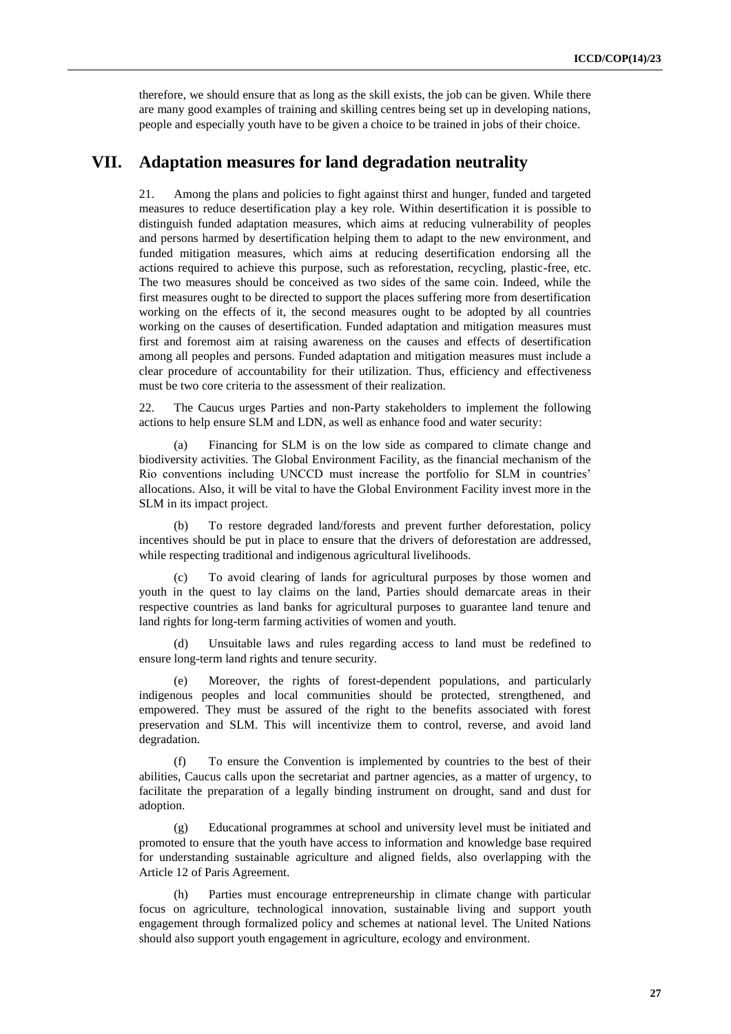therefore, we should ensure that as long as the skill exists, the job can be given. While there are many good examples of training and skilling centres being set up in developing nations, people and especially youth have to be given a choice to be trained in jobs of their choice.

## **VII. Adaptation measures for land degradation neutrality**

21. Among the plans and policies to fight against thirst and hunger, funded and targeted measures to reduce desertification play a key role. Within desertification it is possible to distinguish funded adaptation measures, which aims at reducing vulnerability of peoples and persons harmed by desertification helping them to adapt to the new environment, and funded mitigation measures, which aims at reducing desertification endorsing all the actions required to achieve this purpose, such as reforestation, recycling, plastic-free, etc. The two measures should be conceived as two sides of the same coin. Indeed, while the first measures ought to be directed to support the places suffering more from desertification working on the effects of it, the second measures ought to be adopted by all countries working on the causes of desertification. Funded adaptation and mitigation measures must first and foremost aim at raising awareness on the causes and effects of desertification among all peoples and persons. Funded adaptation and mitigation measures must include a clear procedure of accountability for their utilization. Thus, efficiency and effectiveness must be two core criteria to the assessment of their realization.

22. The Caucus urges Parties and non-Party stakeholders to implement the following actions to help ensure SLM and LDN, as well as enhance food and water security:

(a) Financing for SLM is on the low side as compared to climate change and biodiversity activities. The Global Environment Facility, as the financial mechanism of the Rio conventions including UNCCD must increase the portfolio for SLM in countries' allocations. Also, it will be vital to have the Global Environment Facility invest more in the SLM in its impact project.

(b) To restore degraded land/forests and prevent further deforestation, policy incentives should be put in place to ensure that the drivers of deforestation are addressed, while respecting traditional and indigenous agricultural livelihoods.

To avoid clearing of lands for agricultural purposes by those women and youth in the quest to lay claims on the land, Parties should demarcate areas in their respective countries as land banks for agricultural purposes to guarantee land tenure and land rights for long-term farming activities of women and youth.

(d) Unsuitable laws and rules regarding access to land must be redefined to ensure long-term land rights and tenure security.

(e) Moreover, the rights of forest-dependent populations, and particularly indigenous peoples and local communities should be protected, strengthened, and empowered. They must be assured of the right to the benefits associated with forest preservation and SLM. This will incentivize them to control, reverse, and avoid land degradation.

(f) To ensure the Convention is implemented by countries to the best of their abilities, Caucus calls upon the secretariat and partner agencies, as a matter of urgency, to facilitate the preparation of a legally binding instrument on drought, sand and dust for adoption.

(g) Educational programmes at school and university level must be initiated and promoted to ensure that the youth have access to information and knowledge base required for understanding sustainable agriculture and aligned fields, also overlapping with the Article 12 of Paris Agreement.

(h) Parties must encourage entrepreneurship in climate change with particular focus on agriculture, technological innovation, sustainable living and support youth engagement through formalized policy and schemes at national level. The United Nations should also support youth engagement in agriculture, ecology and environment.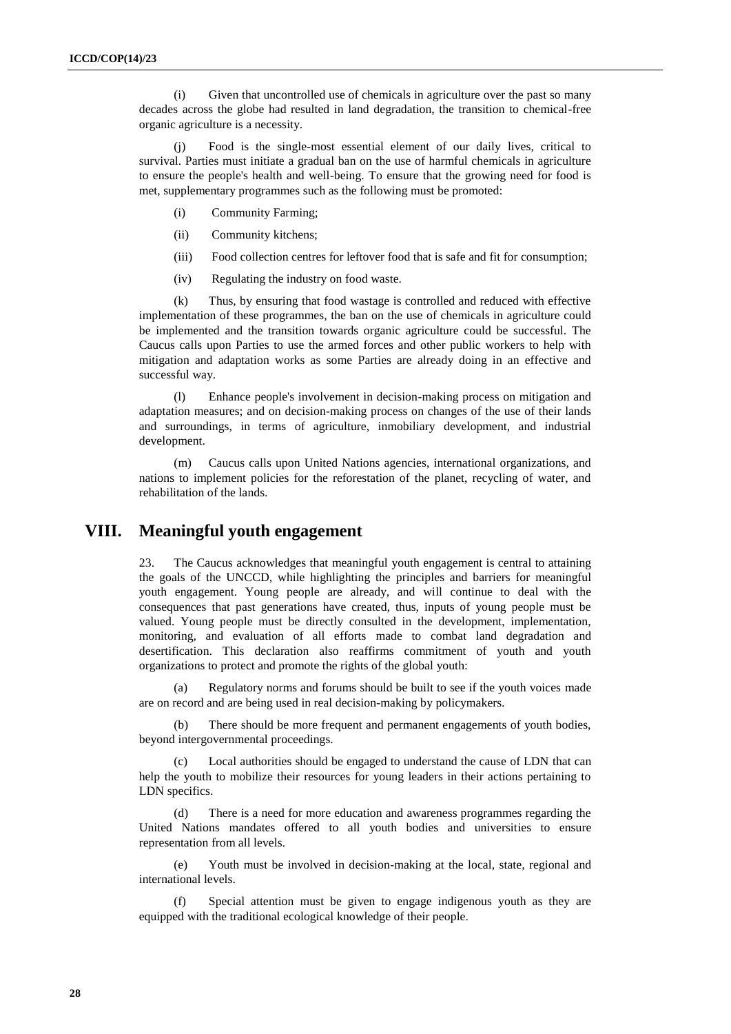(i) Given that uncontrolled use of chemicals in agriculture over the past so many decades across the globe had resulted in land degradation, the transition to chemical-free organic agriculture is a necessity.

(j) Food is the single-most essential element of our daily lives, critical to survival. Parties must initiate a gradual ban on the use of harmful chemicals in agriculture to ensure the people's health and well-being. To ensure that the growing need for food is met, supplementary programmes such as the following must be promoted:

- (i) Community Farming;
- (ii) Community kitchens;
- (iii) Food collection centres for leftover food that is safe and fit for consumption;
- (iv) Regulating the industry on food waste.

(k) Thus, by ensuring that food wastage is controlled and reduced with effective implementation of these programmes, the ban on the use of chemicals in agriculture could be implemented and the transition towards organic agriculture could be successful. The Caucus calls upon Parties to use the armed forces and other public workers to help with mitigation and adaptation works as some Parties are already doing in an effective and successful way.

(l) Enhance people's involvement in decision-making process on mitigation and adaptation measures; and on decision-making process on changes of the use of their lands and surroundings, in terms of agriculture, inmobiliary development, and industrial development.

(m) Caucus calls upon United Nations agencies, international organizations, and nations to implement policies for the reforestation of the planet, recycling of water, and rehabilitation of the lands.

## **VIII. Meaningful youth engagement**

23. The Caucus acknowledges that meaningful youth engagement is central to attaining the goals of the UNCCD, while highlighting the principles and barriers for meaningful youth engagement. Young people are already, and will continue to deal with the consequences that past generations have created, thus, inputs of young people must be valued. Young people must be directly consulted in the development, implementation, monitoring, and evaluation of all efforts made to combat land degradation and desertification. This declaration also reaffirms commitment of youth and youth organizations to protect and promote the rights of the global youth:

Regulatory norms and forums should be built to see if the youth voices made are on record and are being used in real decision-making by policymakers.

(b) There should be more frequent and permanent engagements of youth bodies, beyond intergovernmental proceedings.

(c) Local authorities should be engaged to understand the cause of LDN that can help the youth to mobilize their resources for young leaders in their actions pertaining to LDN specifics.

(d) There is a need for more education and awareness programmes regarding the United Nations mandates offered to all youth bodies and universities to ensure representation from all levels.

(e) Youth must be involved in decision-making at the local, state, regional and international levels.

Special attention must be given to engage indigenous youth as they are equipped with the traditional ecological knowledge of their people.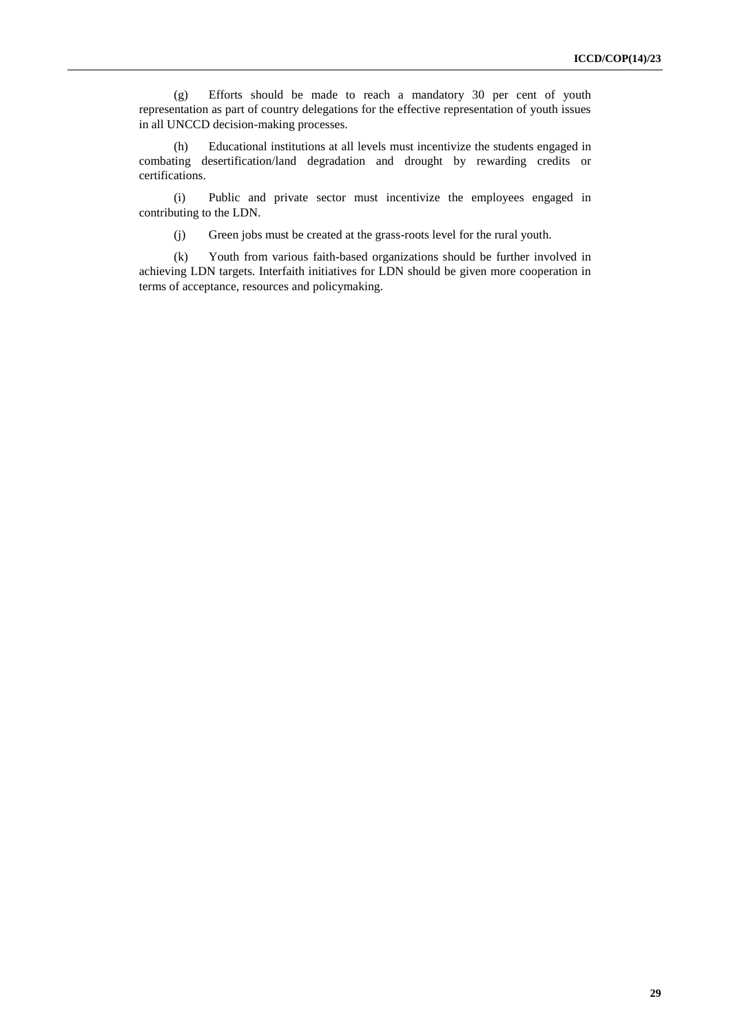(g) Efforts should be made to reach a mandatory 30 per cent of youth representation as part of country delegations for the effective representation of youth issues in all UNCCD decision-making processes.

(h) Educational institutions at all levels must incentivize the students engaged in combating desertification/land degradation and drought by rewarding credits or certifications.

(i) Public and private sector must incentivize the employees engaged in contributing to the LDN.

(j) Green jobs must be created at the grass-roots level for the rural youth.

(k) Youth from various faith-based organizations should be further involved in achieving LDN targets. Interfaith initiatives for LDN should be given more cooperation in terms of acceptance, resources and policymaking.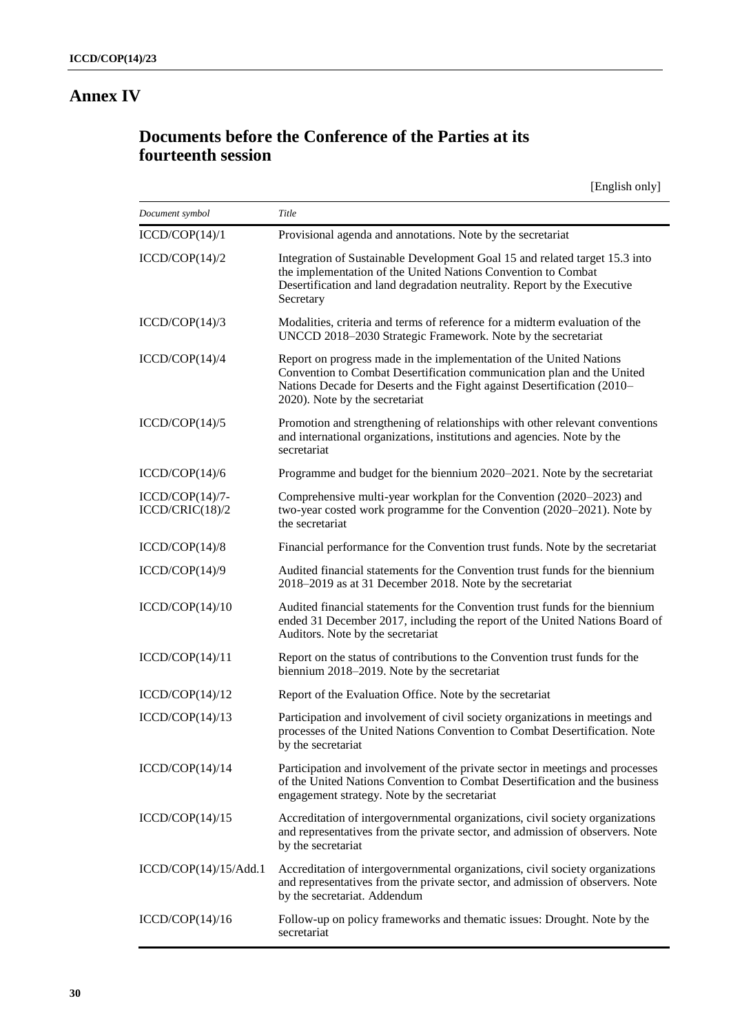## **Annex IV**

## **Documents before the Conference of the Parties at its fourteenth session**

[English only]

| Document symbol                      | Title                                                                                                                                                                                                                                                      |
|--------------------------------------|------------------------------------------------------------------------------------------------------------------------------------------------------------------------------------------------------------------------------------------------------------|
| ICCD/COP(14)/1                       | Provisional agenda and annotations. Note by the secretariat                                                                                                                                                                                                |
| ICCD/COP(14)/2                       | Integration of Sustainable Development Goal 15 and related target 15.3 into<br>the implementation of the United Nations Convention to Combat<br>Desertification and land degradation neutrality. Report by the Executive<br>Secretary                      |
| ICCD/COP(14)/3                       | Modalities, criteria and terms of reference for a midterm evaluation of the<br>UNCCD 2018-2030 Strategic Framework. Note by the secretariat                                                                                                                |
| ICCD/COP(14)/4                       | Report on progress made in the implementation of the United Nations<br>Convention to Combat Desertification communication plan and the United<br>Nations Decade for Deserts and the Fight against Desertification (2010–<br>2020). Note by the secretariat |
| ICCD/COP(14)/5                       | Promotion and strengthening of relationships with other relevant conventions<br>and international organizations, institutions and agencies. Note by the<br>secretariat                                                                                     |
| ICCD/COP(14)/6                       | Programme and budget for the biennium 2020–2021. Note by the secretariat                                                                                                                                                                                   |
| $ICCD/COP(14)/7-$<br>ICCD/CRIC(18)/2 | Comprehensive multi-year workplan for the Convention (2020–2023) and<br>two-year costed work programme for the Convention (2020–2021). Note by<br>the secretariat                                                                                          |
| ICCD/COP(14)/8                       | Financial performance for the Convention trust funds. Note by the secretariat                                                                                                                                                                              |
| ICCD/COP(14)/9                       | Audited financial statements for the Convention trust funds for the biennium<br>2018–2019 as at 31 December 2018. Note by the secretariat                                                                                                                  |
| ICCD/COP(14)/10                      | Audited financial statements for the Convention trust funds for the biennium<br>ended 31 December 2017, including the report of the United Nations Board of<br>Auditors. Note by the secretariat                                                           |
| ICCD/COP(14)/11                      | Report on the status of contributions to the Convention trust funds for the<br>biennium 2018–2019. Note by the secretariat                                                                                                                                 |
| ICCD/COP(14)/12                      | Report of the Evaluation Office. Note by the secretariat                                                                                                                                                                                                   |
| ICCD/COP(14)/13                      | Participation and involvement of civil society organizations in meetings and<br>processes of the United Nations Convention to Combat Desertification. Note<br>by the secretariat                                                                           |
| ICCD/COP(14)/14                      | Participation and involvement of the private sector in meetings and processes<br>of the United Nations Convention to Combat Desertification and the business<br>engagement strategy. Note by the secretariat                                               |
| ICCD/COP(14)/15                      | Accreditation of intergovernmental organizations, civil society organizations<br>and representatives from the private sector, and admission of observers. Note<br>by the secretariat                                                                       |
| ICCD/COP(14)/15/Add.1                | Accreditation of intergovernmental organizations, civil society organizations<br>and representatives from the private sector, and admission of observers. Note<br>by the secretariat. Addendum                                                             |
| ICCD/COP(14)/16                      | Follow-up on policy frameworks and thematic issues: Drought. Note by the<br>secretariat                                                                                                                                                                    |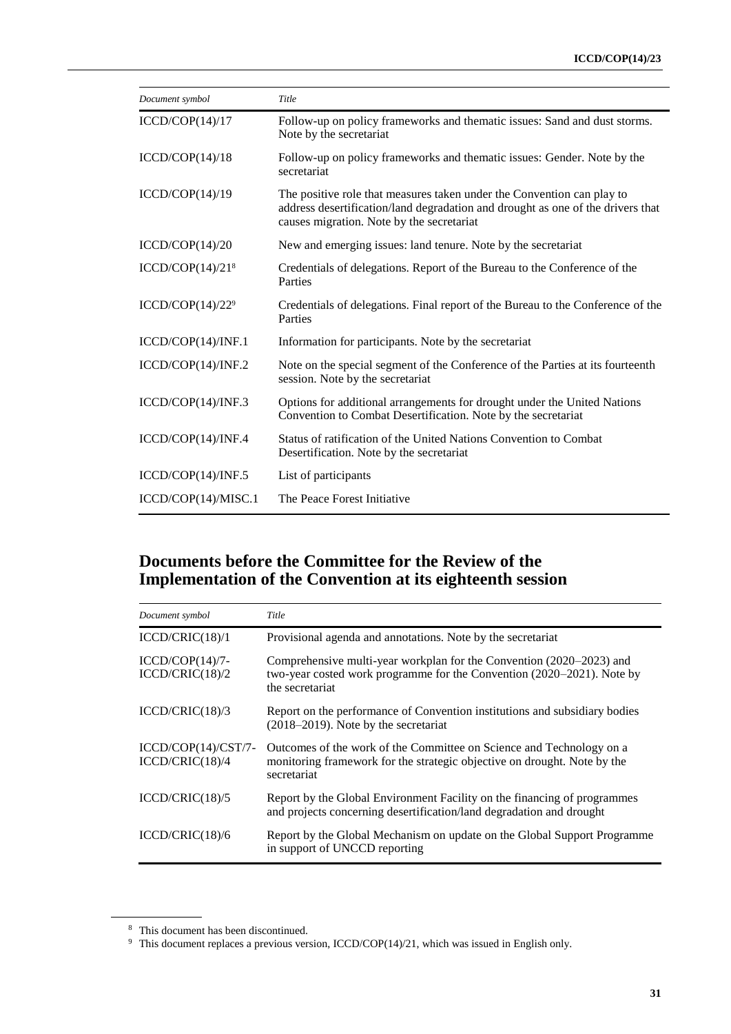| Document symbol                 | Title                                                                                                                                                                                                  |
|---------------------------------|--------------------------------------------------------------------------------------------------------------------------------------------------------------------------------------------------------|
| ICCD/COP(14)/17                 | Follow-up on policy frameworks and thematic issues: Sand and dust storms.<br>Note by the secretariat                                                                                                   |
| ICCD/COP(14)/18                 | Follow-up on policy frameworks and thematic issues: Gender. Note by the<br>secretariat                                                                                                                 |
| ICCD/COP(14)/19                 | The positive role that measures taken under the Convention can play to<br>address desertification/land degradation and drought as one of the drivers that<br>causes migration. Note by the secretariat |
| ICCD/COP(14)/20                 | New and emerging issues: land tenure. Note by the secretariat                                                                                                                                          |
| ICCD/COP(14)/21 <sup>8</sup>    | Credentials of delegations. Report of the Bureau to the Conference of the<br>Parties                                                                                                                   |
| ICCD/COP $(14)/22$ <sup>9</sup> | Credentials of delegations. Final report of the Bureau to the Conference of the<br>Parties                                                                                                             |
| ICCD/COP(14)/INF.1              | Information for participants. Note by the secretariat                                                                                                                                                  |
| ICCD/COP(14)/INF.2              | Note on the special segment of the Conference of the Parties at its fourteenth<br>session. Note by the secretariat                                                                                     |
| ICCD/COP(14)/INF.3              | Options for additional arrangements for drought under the United Nations<br>Convention to Combat Desertification. Note by the secretariat                                                              |
| ICCD/COP(14)/INF.4              | Status of ratification of the United Nations Convention to Combat<br>Desertification. Note by the secretariat                                                                                          |
| ICCD/COP(14)/INF.5              | List of participants                                                                                                                                                                                   |
| ICCD/COP(14)/MISC.1             | The Peace Forest Initiative                                                                                                                                                                            |

## **Documents before the Committee for the Review of the Implementation of the Convention at its eighteenth session**

| Document symbol                          | Title                                                                                                                                                             |
|------------------------------------------|-------------------------------------------------------------------------------------------------------------------------------------------------------------------|
| ICCD/CRIC(18)/1                          | Provisional agenda and annotations. Note by the secretariat                                                                                                       |
| $ICCD/COP(14)/7-$<br>ICCD/CRIC(18)/2     | Comprehensive multi-year workplan for the Convention (2020–2023) and<br>two-year costed work programme for the Convention (2020–2021). Note by<br>the secretariat |
| ICCD/CRIC(18)/3                          | Report on the performance of Convention institutions and subsidiary bodies<br>$(2018-2019)$ . Note by the secretariat                                             |
| $ICCD/COP(14)/CST/7-$<br>ICCD/CRIC(18)/4 | Outcomes of the work of the Committee on Science and Technology on a<br>monitoring framework for the strategic objective on drought. Note by the<br>secretariat   |
| ICCD/CRIC(18)/5                          | Report by the Global Environment Facility on the financing of programmes<br>and projects concerning desertification/land degradation and drought                  |
| ICCD/CRIC(18)/6                          | Report by the Global Mechanism on update on the Global Support Programme<br>in support of UNCCD reporting                                                         |

<sup>8</sup> This document has been discontinued.

<sup>&</sup>lt;sup>9</sup> This document replaces a previous version, ICCD/COP(14)/21, which was issued in English only.